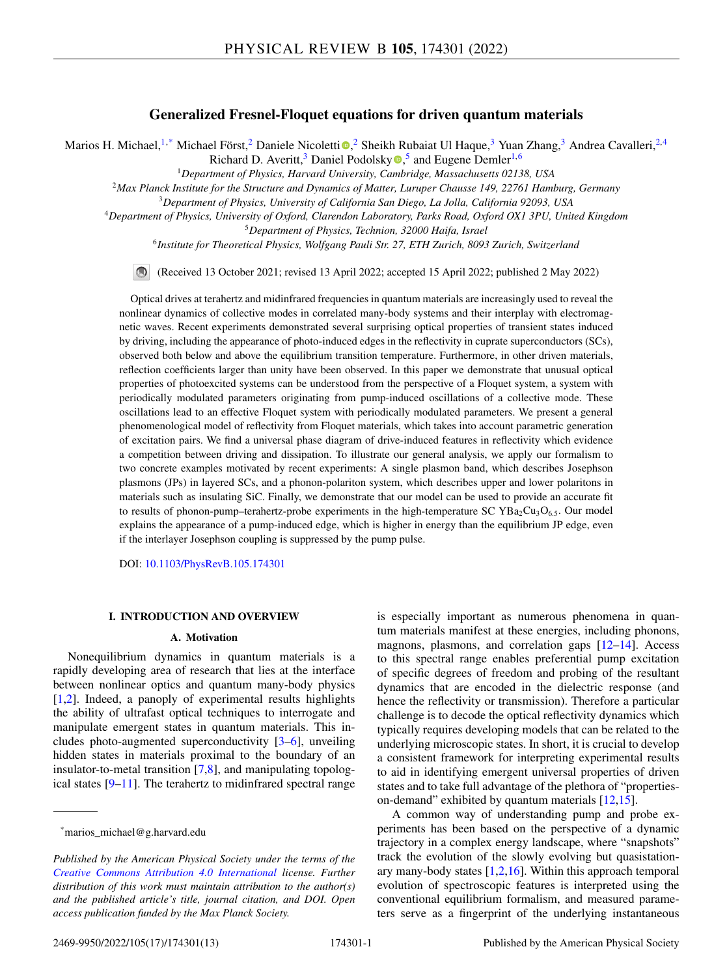# **Generalized Fresnel-Floquet equations for driven quantum materials**

Mar[i](https://orcid.org/0000-0001-7563-5252)os H. Michael,<sup>1,\*</sup> Michael Först,<sup>2</sup> Daniele Nicoletti<sup>o</sup>,<sup>2</sup> Sheikh Rubaiat Ul Haque,<sup>3</sup> Yuan Zhang,<sup>3</sup> Andrea Cavalleri,<sup>2,4</sup>

Richard D. Averitt,<sup>3</sup> Daniel Podolsk[y](https://orcid.org/0000-0001-6428-2957)  $\bullet$ ,<sup>5</sup> and Eugene Demler<sup>1,6</sup>

<sup>1</sup>*Department of Physics, Harvard University, Cambridge, Massachusetts 02138, USA*

<sup>2</sup>*Max Planck Institute for the Structure and Dynamics of Matter, Luruper Chausse 149, 22761 Hamburg, Germany*

<sup>3</sup>*Department of Physics, University of California San Diego, La Jolla, California 92093, USA*

<sup>4</sup>*Department of Physics, University of Oxford, Clarendon Laboratory, Parks Road, Oxford OX1 3PU, United Kingdom*

<sup>5</sup>*Department of Physics, Technion, 32000 Haifa, Israel*

<sup>6</sup>*Institute for Theoretical Physics, Wolfgang Pauli Str. 27, ETH Zurich, 8093 Zurich, Switzerland*

 $\bigcirc$ (Received 13 October 2021; revised 13 April 2022; accepted 15 April 2022; published 2 May 2022)

Optical drives at terahertz and midinfrared frequencies in quantum materials are increasingly used to reveal the nonlinear dynamics of collective modes in correlated many-body systems and their interplay with electromagnetic waves. Recent experiments demonstrated several surprising optical properties of transient states induced by driving, including the appearance of photo-induced edges in the reflectivity in cuprate superconductors (SCs), observed both below and above the equilibrium transition temperature. Furthermore, in other driven materials, reflection coefficients larger than unity have been observed. In this paper we demonstrate that unusual optical properties of photoexcited systems can be understood from the perspective of a Floquet system, a system with periodically modulated parameters originating from pump-induced oscillations of a collective mode. These oscillations lead to an effective Floquet system with periodically modulated parameters. We present a general phenomenological model of reflectivity from Floquet materials, which takes into account parametric generation of excitation pairs. We find a universal phase diagram of drive-induced features in reflectivity which evidence a competition between driving and dissipation. To illustrate our general analysis, we apply our formalism to two concrete examples motivated by recent experiments: A single plasmon band, which describes Josephson plasmons (JPs) in layered SCs, and a phonon-polariton system, which describes upper and lower polaritons in materials such as insulating SiC. Finally, we demonstrate that our model can be used to provide an accurate fit to results of phonon-pump–terahertz-probe experiments in the high-temperature SC YBa<sub>2</sub>Cu<sub>3</sub>O<sub>6.5</sub>. Our model explains the appearance of a pump-induced edge, which is higher in energy than the equilibrium JP edge, even if the interlayer Josephson coupling is suppressed by the pump pulse.

DOI: [10.1103/PhysRevB.105.174301](https://doi.org/10.1103/PhysRevB.105.174301)

## **I. INTRODUCTION AND OVERVIEW**

#### **A. Motivation**

Nonequilibrium dynamics in quantum materials is a rapidly developing area of research that lies at the interface between nonlinear optics and quantum many-body physics [\[1,2\]](#page-11-0). Indeed, a panoply of experimental results highlights the ability of ultrafast optical techniques to interrogate and manipulate emergent states in quantum materials. This includes photo-augmented superconductivity [\[3–6\]](#page-11-0), unveiling hidden states in materials proximal to the boundary of an insulator-to-metal transition [\[7,8\]](#page-11-0), and manipulating topological states [\[9–11\]](#page-11-0). The terahertz to midinfrared spectral range

is especially important as numerous phenomena in quantum materials manifest at these energies, including phonons, magnons, plasmons, and correlation gaps  $[12-14]$ . Access to this spectral range enables preferential pump excitation of specific degrees of freedom and probing of the resultant dynamics that are encoded in the dielectric response (and hence the reflectivity or transmission). Therefore a particular challenge is to decode the optical reflectivity dynamics which typically requires developing models that can be related to the underlying microscopic states. In short, it is crucial to develop a consistent framework for interpreting experimental results to aid in identifying emergent universal properties of driven states and to take full advantage of the plethora of "propertieson-demand" exhibited by quantum materials [\[12,15\]](#page-11-0).

A common way of understanding pump and probe experiments has been based on the perspective of a dynamic trajectory in a complex energy landscape, where "snapshots" track the evolution of the slowly evolving but quasistationary many-body states  $[1,2,16]$ . Within this approach temporal evolution of spectroscopic features is interpreted using the conventional equilibrium formalism, and measured parameters serve as a fingerprint of the underlying instantaneous

<sup>\*</sup>marios\_michael@g.harvard.edu

*Published by the American Physical Society under the terms of the [Creative Commons Attribution 4.0 International](https://creativecommons.org/licenses/by/4.0/) license. Further distribution of this work must maintain attribution to the author(s) and the published article's title, journal citation, and DOI. Open access publication funded by the Max Planck Society.*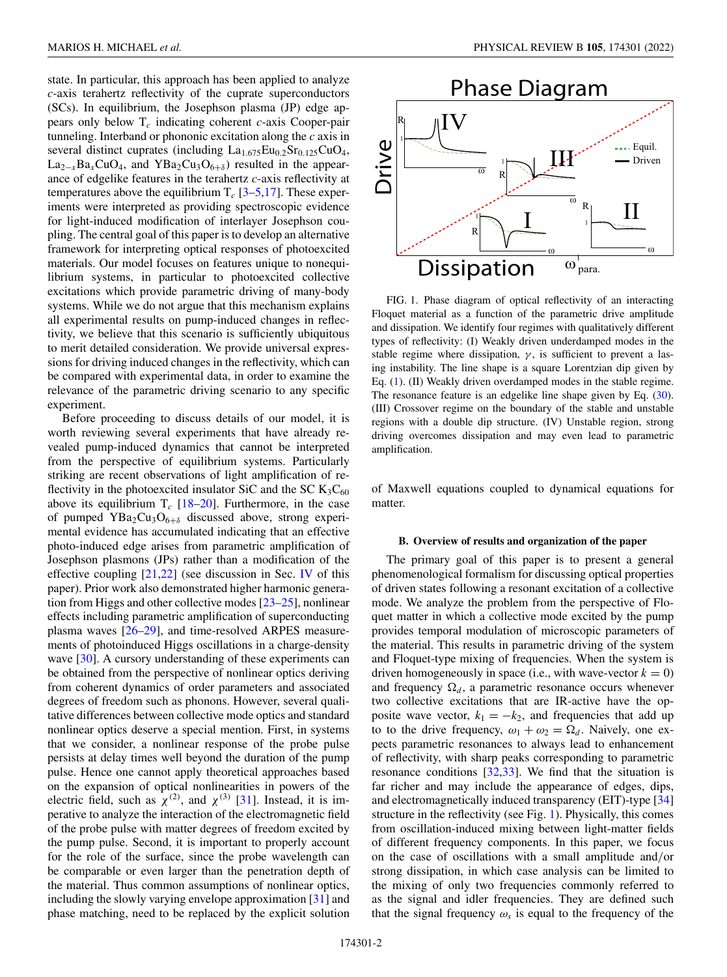<span id="page-1-0"></span>state. In particular, this approach has been applied to analyze *c*-axis terahertz reflectivity of the cuprate superconductors (SCs). In equilibrium, the Josephson plasma (JP) edge appears only below T*<sup>c</sup>* indicating coherent *c*-axis Cooper-pair tunneling. Interband or phononic excitation along the *c* axis in several distinct cuprates (including  $La<sub>1.675</sub>Eu<sub>0.2</sub>Sr<sub>0.125</sub>CuO<sub>4</sub>$ ,  $La_{2-x}Ba_xCuO_4$ , and  $YBa_2Cu_3O_{6+\delta}$  resulted in the appearance of edgelike features in the terahertz *c*-axis reflectivity at temperatures above the equilibrium  $T_c$  [\[3–5,17\]](#page-11-0). These experiments were interpreted as providing spectroscopic evidence for light-induced modification of interlayer Josephson coupling. The central goal of this paper is to develop an alternative framework for interpreting optical responses of photoexcited materials. Our model focuses on features unique to nonequilibrium systems, in particular to photoexcited collective excitations which provide parametric driving of many-body systems. While we do not argue that this mechanism explains all experimental results on pump-induced changes in reflectivity, we believe that this scenario is sufficiently ubiquitous to merit detailed consideration. We provide universal expressions for driving induced changes in the reflectivity, which can be compared with experimental data, in order to examine the relevance of the parametric driving scenario to any specific experiment.

Before proceeding to discuss details of our model, it is worth reviewing several experiments that have already revealed pump-induced dynamics that cannot be interpreted from the perspective of equilibrium systems. Particularly striking are recent observations of light amplification of reflectivity in the photoexcited insulator SiC and the SC  $K_3C_{60}$ above its equilibrium  $T_c$  [\[18–20\]](#page-11-0). Furthermore, in the case of pumped YBa<sub>2</sub>Cu<sub>3</sub>O<sub>6+δ</sub> discussed above, strong experimental evidence has accumulated indicating that an effective photo-induced edge arises from parametric amplification of Josephson plasmons (JPs) rather than a modification of the effective coupling  $[21,22]$  $[21,22]$  (see discussion in Sec. [IV](#page-8-0) of this paper). Prior work also demonstrated higher harmonic generation from Higgs and other collective modes [\[23–25\]](#page-12-0), nonlinear effects including parametric amplification of superconducting plasma waves [\[26–29\]](#page-12-0), and time-resolved ARPES measurements of photoinduced Higgs oscillations in a charge-density wave [\[30\]](#page-12-0). A cursory understanding of these experiments can be obtained from the perspective of nonlinear optics deriving from coherent dynamics of order parameters and associated degrees of freedom such as phonons. However, several qualitative differences between collective mode optics and standard nonlinear optics deserve a special mention. First, in systems that we consider, a nonlinear response of the probe pulse persists at delay times well beyond the duration of the pump pulse. Hence one cannot apply theoretical approaches based on the expansion of optical nonlinearities in powers of the electric field, such as  $\chi^{(2)}$ , and  $\chi^{(3)}$  [\[31\]](#page-12-0). Instead, it is imperative to analyze the interaction of the electromagnetic field of the probe pulse with matter degrees of freedom excited by the pump pulse. Second, it is important to properly account for the role of the surface, since the probe wavelength can be comparable or even larger than the penetration depth of the material. Thus common assumptions of nonlinear optics, including the slowly varying envelope approximation [\[31\]](#page-12-0) and phase matching, need to be replaced by the explicit solution



FIG. 1. Phase diagram of optical reflectivity of an interacting Floquet material as a function of the parametric drive amplitude and dissipation. We identify four regimes with qualitatively different types of reflectivity: (I) Weakly driven underdamped modes in the stable regime where dissipation,  $\gamma$ , is sufficient to prevent a lasing instability. The line shape is a square Lorentzian dip given by Eq. [\(1\)](#page-2-0). (II) Weakly driven overdamped modes in the stable regime. The resonance feature is an edgelike line shape given by Eq. [\(30\)](#page-6-0). (III) Crossover regime on the boundary of the stable and unstable regions with a double dip structure. (IV) Unstable region, strong driving overcomes dissipation and may even lead to parametric amplification.

of Maxwell equations coupled to dynamical equations for matter.

### **B. Overview of results and organization of the paper**

The primary goal of this paper is to present a general phenomenological formalism for discussing optical properties of driven states following a resonant excitation of a collective mode. We analyze the problem from the perspective of Floquet matter in which a collective mode excited by the pump provides temporal modulation of microscopic parameters of the material. This results in parametric driving of the system and Floquet-type mixing of frequencies. When the system is driven homogeneously in space (i.e., with wave-vector  $k = 0$ ) and frequency  $\Omega_d$ , a parametric resonance occurs whenever two collective excitations that are IR-active have the opposite wave vector,  $k_1 = -k_2$ , and frequencies that add up to to the drive frequency,  $\omega_1 + \omega_2 = \Omega_d$ . Naively, one expects parametric resonances to always lead to enhancement of reflectivity, with sharp peaks corresponding to parametric resonance conditions [\[32,33\]](#page-12-0). We find that the situation is far richer and may include the appearance of edges, dips, and electromagnetically induced transparency (EIT)-type [\[34\]](#page-12-0) structure in the reflectivity (see Fig. 1). Physically, this comes from oscillation-induced mixing between light-matter fields of different frequency components. In this paper, we focus on the case of oscillations with a small amplitude and/or strong dissipation, in which case analysis can be limited to the mixing of only two frequencies commonly referred to as the signal and idler frequencies. They are defined such that the signal frequency  $\omega_s$  is equal to the frequency of the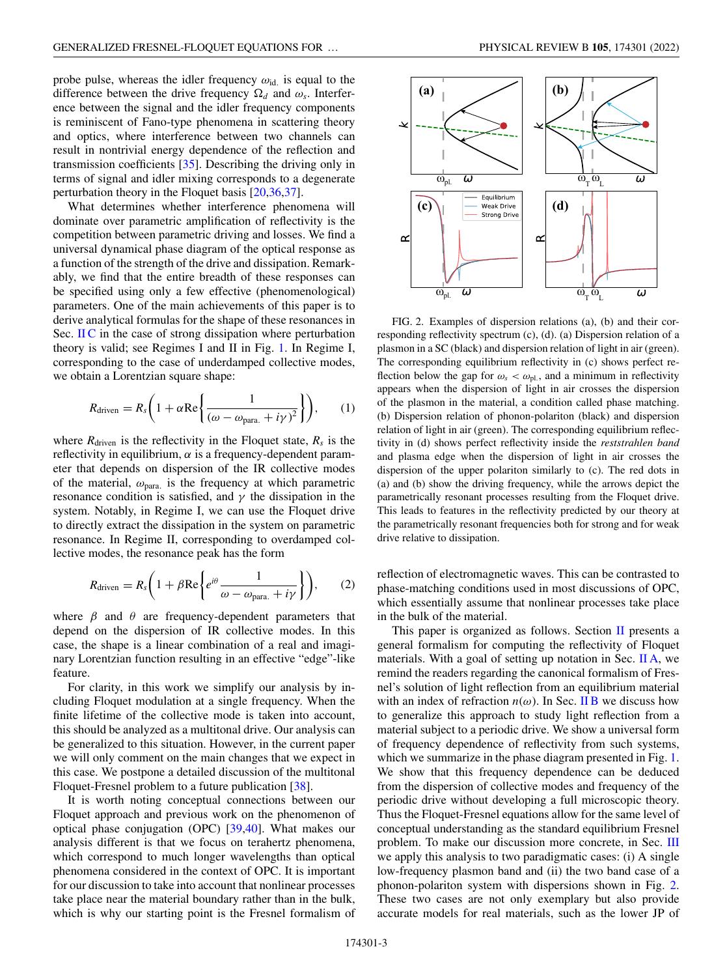<span id="page-2-0"></span>probe pulse, whereas the idler frequency  $\omega_{\text{id}}$  is equal to the difference between the drive frequency  $\Omega_d$  and  $\omega_s$ . Interference between the signal and the idler frequency components is reminiscent of Fano-type phenomena in scattering theory and optics, where interference between two channels can result in nontrivial energy dependence of the reflection and transmission coefficients [\[35\]](#page-12-0). Describing the driving only in terms of signal and idler mixing corresponds to a degenerate perturbation theory in the Floquet basis [\[20,](#page-11-0)[36,37\]](#page-12-0).

What determines whether interference phenomena will dominate over parametric amplification of reflectivity is the competition between parametric driving and losses. We find a universal dynamical phase diagram of the optical response as a function of the strength of the drive and dissipation. Remarkably, we find that the entire breadth of these responses can be specified using only a few effective (phenomenological) parameters. One of the main achievements of this paper is to derive analytical formulas for the shape of these resonances in Sec.  $\overline{I}I\overline{C}$  in the case of strong dissipation where perturbation theory is valid; see Regimes I and II in Fig. [1.](#page-1-0) In Regime I, corresponding to the case of underdamped collective modes, we obtain a Lorentzian square shape:

$$
R_{\text{driven}} = R_s \bigg( 1 + \alpha \text{Re} \bigg\{ \frac{1}{(\omega - \omega_{\text{para.}} + i \gamma)^2} \bigg\} \bigg), \qquad (1)
$$

where  $R_{\text{driven}}$  is the reflectivity in the Floquet state,  $R_s$  is the reflectivity in equilibrium,  $\alpha$  is a frequency-dependent parameter that depends on dispersion of the IR collective modes of the material,  $\omega_{\text{para}}$  is the frequency at which parametric resonance condition is satisfied, and  $\gamma$  the dissipation in the system. Notably, in Regime I, we can use the Floquet drive to directly extract the dissipation in the system on parametric resonance. In Regime II, corresponding to overdamped collective modes, the resonance peak has the form

$$
R_{\text{driven}} = R_s \bigg( 1 + \beta \text{Re} \bigg\{ e^{i\theta} \frac{1}{\omega - \omega_{\text{para.}} + i\gamma} \bigg\} \bigg), \qquad (2)
$$

where  $\beta$  and  $\theta$  are frequency-dependent parameters that depend on the dispersion of IR collective modes. In this case, the shape is a linear combination of a real and imaginary Lorentzian function resulting in an effective "edge"-like feature.

For clarity, in this work we simplify our analysis by including Floquet modulation at a single frequency. When the finite lifetime of the collective mode is taken into account, this should be analyzed as a multitonal drive. Our analysis can be generalized to this situation. However, in the current paper we will only comment on the main changes that we expect in this case. We postpone a detailed discussion of the multitonal Floquet-Fresnel problem to a future publication [\[38\]](#page-12-0).

It is worth noting conceptual connections between our Floquet approach and previous work on the phenomenon of optical phase conjugation (OPC) [\[39,40\]](#page-12-0). What makes our analysis different is that we focus on terahertz phenomena, which correspond to much longer wavelengths than optical phenomena considered in the context of OPC. It is important for our discussion to take into account that nonlinear processes take place near the material boundary rather than in the bulk, which is why our starting point is the Fresnel formalism of



FIG. 2. Examples of dispersion relations (a), (b) and their corresponding reflectivity spectrum (c), (d). (a) Dispersion relation of a plasmon in a SC (black) and dispersion relation of light in air (green). The corresponding equilibrium reflectivity in (c) shows perfect reflection below the gap for  $\omega_s < \omega_{\text{pl}}$ , and a minimum in reflectivity appears when the dispersion of light in air crosses the dispersion of the plasmon in the material, a condition called phase matching. (b) Dispersion relation of phonon-polariton (black) and dispersion relation of light in air (green). The corresponding equilibrium reflectivity in (d) shows perfect reflectivity inside the *reststrahlen band* and plasma edge when the dispersion of light in air crosses the dispersion of the upper polariton similarly to (c). The red dots in (a) and (b) show the driving frequency, while the arrows depict the parametrically resonant processes resulting from the Floquet drive. This leads to features in the reflectivity predicted by our theory at the parametrically resonant frequencies both for strong and for weak drive relative to dissipation.

reflection of electromagnetic waves. This can be contrasted to phase-matching conditions used in most discussions of OPC, which essentially assume that nonlinear processes take place in the bulk of the material.

This paper is organized as follows. Section  $II$  presents a general formalism for computing the reflectivity of Floquet materials. With a goal of setting up notation in Sec.  $\mathbf{II} \mathbf{A}$ , we remind the readers regarding the canonical formalism of Fresnel's solution of light reflection from an equilibrium material with an index of refraction  $n(\omega)$ . In Sec. [II B](#page-4-0) we discuss how to generalize this approach to study light reflection from a material subject to a periodic drive. We show a universal form of frequency dependence of reflectivity from such systems, which we summarize in the phase diagram presented in Fig. [1.](#page-1-0) We show that this frequency dependence can be deduced from the dispersion of collective modes and frequency of the periodic drive without developing a full microscopic theory. Thus the Floquet-Fresnel equations allow for the same level of conceptual understanding as the standard equilibrium Fresnel problem. To make our discussion more concrete, in Sec. [III](#page-7-0) we apply this analysis to two paradigmatic cases: (i) A single low-frequency plasmon band and (ii) the two band case of a phonon-polariton system with dispersions shown in Fig. 2. These two cases are not only exemplary but also provide accurate models for real materials, such as the lower JP of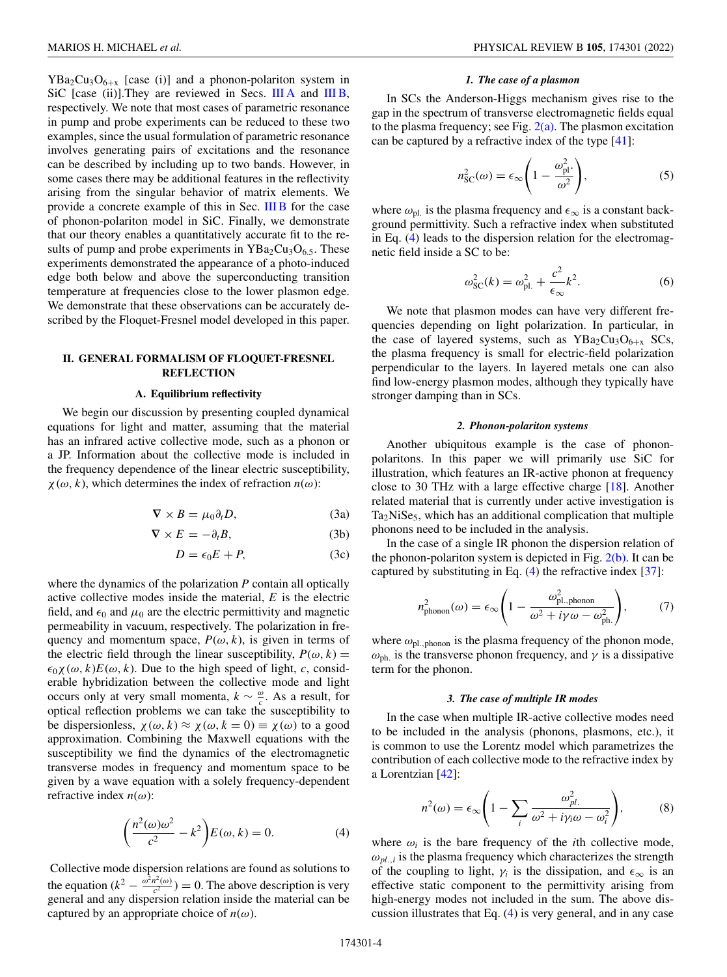<span id="page-3-0"></span> $YBa<sub>2</sub>Cu<sub>3</sub>O<sub>6+x</sub>$  [case (i)] and a phonon-polariton system in SiC [case (ii)]. They are reviewed in Secs. [III A](#page-7-0) and [III B,](#page-7-0) respectively. We note that most cases of parametric resonance in pump and probe experiments can be reduced to these two examples, since the usual formulation of parametric resonance involves generating pairs of excitations and the resonance can be described by including up to two bands. However, in some cases there may be additional features in the reflectivity arising from the singular behavior of matrix elements. We provide a concrete example of this in Sec. [III B](#page-7-0) for the case of phonon-polariton model in SiC. Finally, we demonstrate that our theory enables a quantitatively accurate fit to the results of pump and probe experiments in  $YBa<sub>2</sub>Cu<sub>3</sub>O<sub>6.5</sub>$ . These experiments demonstrated the appearance of a photo-induced edge both below and above the superconducting transition temperature at frequencies close to the lower plasmon edge. We demonstrate that these observations can be accurately described by the Floquet-Fresnel model developed in this paper.

## **II. GENERAL FORMALISM OF FLOQUET-FRESNEL REFLECTION**

#### **A. Equilibrium reflectivity**

We begin our discussion by presenting coupled dynamical equations for light and matter, assuming that the material has an infrared active collective mode, such as a phonon or a JP. Information about the collective mode is included in the frequency dependence of the linear electric susceptibility,  $\chi(\omega, k)$ , which determines the index of refraction  $n(\omega)$ :

$$
\nabla \times B = \mu_0 \partial_t D,\tag{3a}
$$

$$
\nabla \times E = -\partial_t B,\tag{3b}
$$

 $D = \epsilon_0 E + P$ , (3c)

where the dynamics of the polarization *P* contain all optically active collective modes inside the material, *E* is the electric field, and  $\epsilon_0$  and  $\mu_0$  are the electric permittivity and magnetic permeability in vacuum, respectively. The polarization in frequency and momentum space,  $P(\omega, k)$ , is given in terms of the electric field through the linear susceptibility,  $P(\omega, k) =$  $\epsilon_0 \chi(\omega, k) E(\omega, k)$ . Due to the high speed of light, *c*, considerable hybridization between the collective mode and light occurs only at very small momenta,  $k \sim \frac{\omega}{c}$ . As a result, for optical reflection problems we can take the susceptibility to be dispersionless,  $\chi(\omega, k) \approx \chi(\omega, k = 0) \equiv \chi(\omega)$  to a good approximation. Combining the Maxwell equations with the susceptibility we find the dynamics of the electromagnetic transverse modes in frequency and momentum space to be given by a wave equation with a solely frequency-dependent refractive index  $n(\omega)$ :

$$
\left(\frac{n^2(\omega)\omega^2}{c^2} - k^2\right)E(\omega, k) = 0.
$$
 (4)

Collective mode dispersion relations are found as solutions to the equation  $(k^2 - \frac{\omega^2 n^2(\omega)}{c^2}) = 0$ . The above description is very general and any dispersion relation inside the material can be captured by an appropriate choice of  $n(\omega)$ .

### *1. The case of a plasmon*

In SCs the Anderson-Higgs mechanism gives rise to the gap in the spectrum of transverse electromagnetic fields equal to the plasma frequency; see Fig.  $2(a)$ . The plasmon excitation can be captured by a refractive index of the type [\[41\]](#page-12-0):

$$
n_{\rm SC}^2(\omega) = \epsilon_{\infty} \left( 1 - \frac{\omega_{\rm pl}^2}{\omega^2} \right),\tag{5}
$$

where  $\omega_{\text{pl}}$  is the plasma frequency and  $\epsilon_{\infty}$  is a constant background permittivity. Such a refractive index when substituted in Eq. (4) leads to the dispersion relation for the electromagnetic field inside a SC to be:

$$
\omega_{\rm SC}^2(k) = \omega_{\rm pl.}^2 + \frac{c^2}{\epsilon_{\infty}}k^2.
$$
 (6)

We note that plasmon modes can have very different frequencies depending on light polarization. In particular, in the case of layered systems, such as  $YBa<sub>2</sub>Cu<sub>3</sub>O<sub>6+x</sub>$  SCs, the plasma frequency is small for electric-field polarization perpendicular to the layers. In layered metals one can also find low-energy plasmon modes, although they typically have stronger damping than in SCs.

### *2. Phonon-polariton systems*

Another ubiquitous example is the case of phononpolaritons. In this paper we will primarily use SiC for illustration, which features an IR-active phonon at frequency close to 30 THz with a large effective charge [\[18\]](#page-11-0). Another related material that is currently under active investigation is  $Ta_2NiSe_5$ , which has an additional complication that multiple phonons need to be included in the analysis.

In the case of a single IR phonon the dispersion relation of the phonon-polariton system is depicted in Fig.  $2(b)$ . It can be captured by substituting in Eq.  $(4)$  the refractive index [\[37\]](#page-12-0):

$$
n_{\text{phonon}}^2(\omega) = \epsilon_{\infty} \left( 1 - \frac{\omega_{\text{pl},\text{phonon}}^2}{\omega^2 + i\gamma \omega - \omega_{\text{ph.}}^2} \right),\tag{7}
$$

where  $\omega_{\text{pl.,phonon}}$  is the plasma frequency of the phonon mode,  $\omega_{ph.}$  is the transverse phonon frequency, and  $\gamma$  is a dissipative term for the phonon.

### *3. The case of multiple IR modes*

In the case when multiple IR-active collective modes need to be included in the analysis (phonons, plasmons, etc.), it is common to use the Lorentz model which parametrizes the contribution of each collective mode to the refractive index by a Lorentzian [\[42\]](#page-12-0):

$$
n^{2}(\omega) = \epsilon_{\infty} \left( 1 - \sum_{i} \frac{\omega_{pl.}^{2}}{\omega^{2} + i\gamma_{i}\omega - \omega_{i}^{2}} \right),
$$
 (8)

where  $\omega_i$  is the bare frequency of the *i*th collective mode,  $\omega_{pl,i}$  is the plasma frequency which characterizes the strength of the coupling to light,  $\gamma_i$  is the dissipation, and  $\epsilon_{\infty}$  is an effective static component to the permittivity arising from high-energy modes not included in the sum. The above discussion illustrates that Eq. (4) is very general, and in any case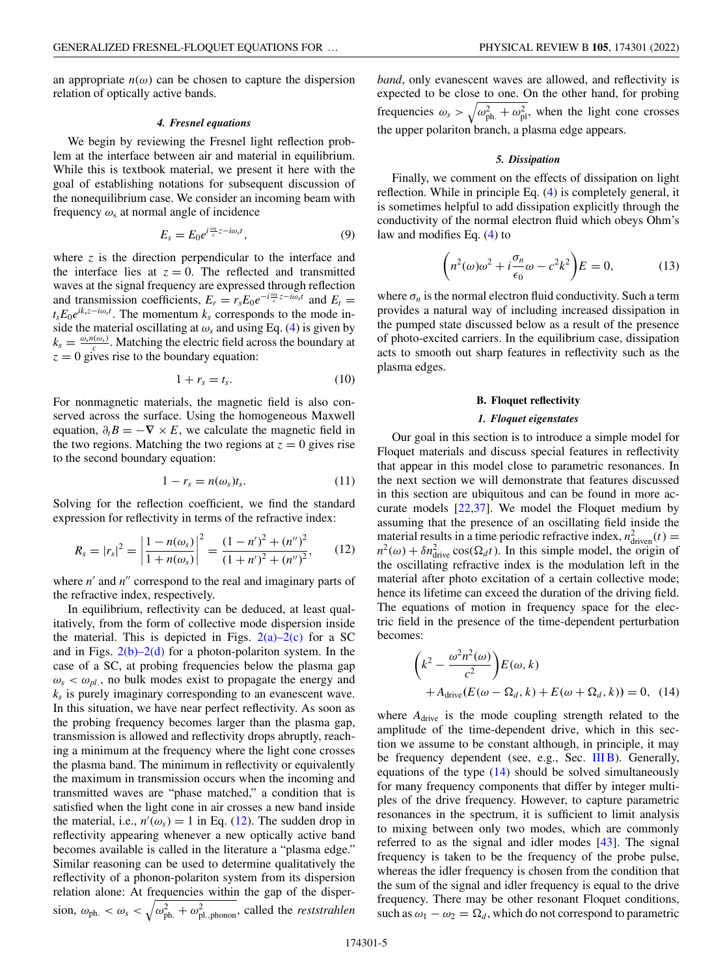<span id="page-4-0"></span>an appropriate  $n(\omega)$  can be chosen to capture the dispersion relation of optically active bands.

#### *4. Fresnel equations*

We begin by reviewing the Fresnel light reflection problem at the interface between air and material in equilibrium. While this is textbook material, we present it here with the goal of establishing notations for subsequent discussion of the nonequilibrium case. We consider an incoming beam with frequency  $\omega_s$  at normal angle of incidence

$$
E_s = E_0 e^{i\frac{\omega_s}{c}z - i\omega_s t},\tag{9}
$$

where *z* is the direction perpendicular to the interface and the interface lies at  $z = 0$ . The reflected and transmitted waves at the signal frequency are expressed through reflection and transmission coefficients,  $E_r = r_s E_0 e^{-i\frac{\omega_s}{c}z - i\omega_s t}$  and  $E_t =$ *t<sub>s</sub>E*<sub>0</sub>*e*<sup>*ik<sub>s</sub>z−<i>i*ω<sub>s</sub>*t*</sub>. The momentum *k<sub>s</sub>* corresponds to the mode in-</sup> side the material oscillating at  $\omega_s$  and using Eq. [\(4\)](#page-3-0) is given by  $k_s = \frac{\omega_s n(\omega_s)}{c}$ . Matching the electric field across the boundary at  $z = 0$  gives rise to the boundary equation:

$$
1 + r_s = t_s. \tag{10}
$$

For nonmagnetic materials, the magnetic field is also conserved across the surface. Using the homogeneous Maxwell equation,  $\partial_t B = -\nabla \times E$ , we calculate the magnetic field in the two regions. Matching the two regions at  $z = 0$  gives rise to the second boundary equation:

$$
1 - r_s = n(\omega_s)t_s. \tag{11}
$$

Solving for the reflection coefficient, we find the standard expression for reflectivity in terms of the refractive index:

$$
R_s = |r_s|^2 = \left|\frac{1 - n(\omega_s)}{1 + n(\omega_s)}\right|^2 = \frac{(1 - n')^2 + (n'')^2}{(1 + n')^2 + (n'')^2},\qquad(12)
$$

where  $n'$  and  $n''$  correspond to the real and imaginary parts of the refractive index, respectively.

In equilibrium, reflectivity can be deduced, at least qualitatively, from the form of collective mode dispersion inside the material. This is depicted in Figs.  $2(a)-2(c)$  for a SC and in Figs.  $2(b)-2(d)$  for a photon-polariton system. In the case of a SC, at probing frequencies below the plasma gap  $\omega_s < \omega_{pl}$ , no bulk modes exist to propagate the energy and  $k<sub>s</sub>$  is purely imaginary corresponding to an evanescent wave. In this situation, we have near perfect reflectivity. As soon as the probing frequency becomes larger than the plasma gap, transmission is allowed and reflectivity drops abruptly, reaching a minimum at the frequency where the light cone crosses the plasma band. The minimum in reflectivity or equivalently the maximum in transmission occurs when the incoming and transmitted waves are "phase matched," a condition that is satisfied when the light cone in air crosses a new band inside the material, i.e.,  $n'(\omega_s) = 1$  in Eq. (12). The sudden drop in reflectivity appearing whenever a new optically active band becomes available is called in the literature a "plasma edge." Similar reasoning can be used to determine qualitatively the reflectivity of a phonon-polariton system from its dispersion relation alone: At frequencies within the gap of the dispersion,  $\omega_{ph.} < \omega_s < \sqrt{\omega_{ph.}^2 + \omega_{pl.,phonon}^2}$ , called the *reststrahlen*  *band*, only evanescent waves are allowed, and reflectivity is expected to be close to one. On the other hand, for probing frequencies  $\omega_s > \sqrt{\omega_{\text{ph.}}^2 + \omega_{\text{pl}}^2}$ , when the light cone crosses the upper polariton branch, a plasma edge appears.

### *5. Dissipation*

Finally, we comment on the effects of dissipation on light reflection. While in principle Eq. [\(4\)](#page-3-0) is completely general, it is sometimes helpful to add dissipation explicitly through the conductivity of the normal electron fluid which obeys Ohm's law and modifies Eq. [\(4\)](#page-3-0) to

$$
\left(n^2(\omega)\omega^2 + i\frac{\sigma_n}{\epsilon_0}\omega - c^2k^2\right)E = 0,\tag{13}
$$

where  $\sigma_n$  is the normal electron fluid conductivity. Such a term provides a natural way of including increased dissipation in the pumped state discussed below as a result of the presence of photo-excited carriers. In the equilibrium case, dissipation acts to smooth out sharp features in reflectivity such as the plasma edges.

### **B. Floquet reflectivity**

### *1. Floquet eigenstates*

Our goal in this section is to introduce a simple model for Floquet materials and discuss special features in reflectivity that appear in this model close to parametric resonances. In the next section we will demonstrate that features discussed in this section are ubiquitous and can be found in more accurate models [\[22,37\]](#page-12-0). We model the Floquet medium by assuming that the presence of an oscillating field inside the material results in a time periodic refractive index,  $n_{\text{driven}}^2(t) =$  $n^2(\omega) + \delta n_{\text{drive}}^2 \cos(\Omega_d t)$ . In this simple model, the origin of the oscillating refractive index is the modulation left in the material after photo excitation of a certain collective mode; hence its lifetime can exceed the duration of the driving field. The equations of motion in frequency space for the electric field in the presence of the time-dependent perturbation becomes:

$$
\left(k^2 - \frac{\omega^2 n^2(\omega)}{c^2}\right) E(\omega, k)
$$
  
+  $A_{\text{drive}}(E(\omega - \Omega_d, k) + E(\omega + \Omega_d, k)) = 0$ , (14)

where  $A_{\text{drive}}$  is the mode coupling strength related to the amplitude of the time-dependent drive, which in this section we assume to be constant although, in principle, it may be frequency dependent (see, e.g., Sec. [III B\)](#page-7-0). Generally, equations of the type  $(14)$  should be solved simultaneously for many frequency components that differ by integer multiples of the drive frequency. However, to capture parametric resonances in the spectrum, it is sufficient to limit analysis to mixing between only two modes, which are commonly referred to as the signal and idler modes [\[43\]](#page-12-0). The signal frequency is taken to be the frequency of the probe pulse, whereas the idler frequency is chosen from the condition that the sum of the signal and idler frequency is equal to the drive frequency. There may be other resonant Floquet conditions, such as  $\omega_1 - \omega_2 = \Omega_d$ , which do not correspond to parametric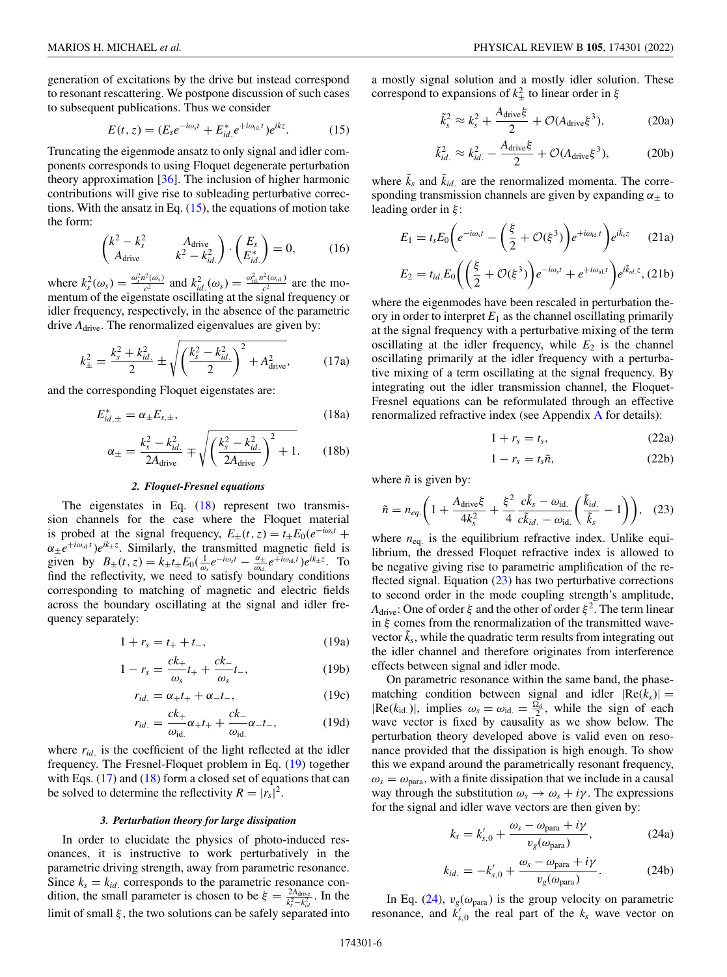<span id="page-5-0"></span>generation of excitations by the drive but instead correspond to resonant rescattering. We postpone discussion of such cases to subsequent publications. Thus we consider

$$
E(t, z) = (E_s e^{-i\omega_s t} + E_{id.}^* e^{+i\omega_{id.} t}) e^{ikz}.
$$
 (15)

Truncating the eigenmode ansatz to only signal and idler components corresponds to using Floquet degenerate perturbation theory approximation [\[36\]](#page-12-0). The inclusion of higher harmonic contributions will give rise to subleading perturbative corrections. With the ansatz in Eq.  $(15)$ , the equations of motion take the form:

$$
\begin{pmatrix} k^2 - k_s^2 & A_{\text{drive}}\\ A_{\text{drive}} & k^2 - k_{id.}^2 \end{pmatrix} \cdot \begin{pmatrix} E_s\\ E_{id.}^* \end{pmatrix} = 0, \quad (16)
$$

where  $k_s^2(\omega_s) = \frac{\omega_s^2 n^2(\omega_s)}{c^2}$  and  $k_{id}^2(\omega_s) = \frac{\omega_{id}^2 n^2(\omega_{id.})}{c^2}$  are the momentum of the eigenstate oscillating at the signal frequency or idler frequency, respectively, in the absence of the parametric drive  $A_{\text{drive}}$ . The renormalized eigenvalues are given by:

$$
k_{\pm}^{2} = \frac{k_{s}^{2} + k_{id.}^{2}}{2} \pm \sqrt{\left(\frac{k_{s}^{2} - k_{id.}^{2}}{2}\right)^{2} + A_{\text{drive}}^{2}},\tag{17a}
$$

and the corresponding Floquet eigenstates are:

$$
E_{id,\pm}^* = \alpha_\pm E_{s,\pm},\tag{18a}
$$

$$
\alpha_{\pm} = \frac{k_s^2 - k_{id.}^2}{2A_{\text{drive}}} \mp \sqrt{\left(\frac{k_s^2 - k_{id.}^2}{2A_{\text{drive}}}\right)^2 + 1}.
$$
 (18b)

### *2. Floquet-Fresnel equations*

The eigenstates in Eq.  $(18)$  represent two transmission channels for the case where the Floquet material is probed at the signal frequency,  $E_{\pm}(t, z) = t_{\pm}E_0(e^{-i\omega_s t} +$  $\alpha_{\pm}e^{+i\omega_{\text{id}}t}$  *e*<sup>ik<sub>±</sub>*z*</sup>. Similarly, the transmitted magnetic field is given by  $B_{\pm}(t, z) = k_{\pm}t_{\pm}E_0(\frac{1}{\omega_s}e^{-i\omega_s t} - \frac{\alpha_{\pm}}{\omega_{\text{td}}}e^{+i\omega_{\text{td}}t})e^{ik_{\pm}z}$ . To find the reflectivity, we need to satisfy boundary conditions corresponding to matching of magnetic and electric fields across the boundary oscillating at the signal and idler frequency separately:

$$
1 + r_s = t_+ + t_-, \tag{19a}
$$

$$
1 - r_s = \frac{ck_+}{\omega_s} t_+ + \frac{ck_-}{\omega_s} t_-, \tag{19b}
$$

$$
r_{id.} = \alpha_+ t_+ + \alpha_- t_-, \tag{19c}
$$

$$
r_{id.} = \frac{ck_+}{\omega_{\text{id.}}} \alpha_+ t_+ + \frac{ck_-}{\omega_{\text{id.}}} \alpha_- t_-, \tag{19d}
$$

where  $r_{id.}$  is the coefficient of the light reflected at the idler frequency. The Fresnel-Floquet problem in Eq. (19) together with Eqs.  $(17)$  and  $(18)$  form a closed set of equations that can be solved to determine the reflectivity  $R = |r_s|^2$ .

#### *3. Perturbation theory for large dissipation*

In order to elucidate the physics of photo-induced resonances, it is instructive to work perturbatively in the parametric driving strength, away from parametric resonance. Since  $k_s = k_{id}$  corresponds to the parametric resonance condition, the small parameter is chosen to be  $\xi = \frac{2A_{\text{drive}}}{k_s^2 - k_{\text{tid}}^2}$ . In the limit of small  $\xi$ , the two solutions can be safely separated into

a mostly signal solution and a mostly idler solution. These correspond to expansions of  $k_{\pm}^2$  to linear order in  $\xi$ 

$$
\tilde{k}_s^2 \approx k_s^2 + \frac{A_{\text{drive}}\xi}{2} + \mathcal{O}(A_{\text{drive}}\xi^3),\tag{20a}
$$

$$
\tilde{k}_{id.}^2 \approx k_{id.}^2 - \frac{A_{\text{drive}}\xi}{2} + \mathcal{O}(A_{\text{drive}}\xi^3),\tag{20b}
$$

where  $\tilde{k}_s$  and  $\tilde{k}_{id}$ , are the renormalized momenta. The corresponding transmission channels are given by expanding  $\alpha_{\pm}$  to leading order in  $\xi$ :

$$
E_1 = t_s E_0 \bigg( e^{-i\omega_s t} - \bigg( \frac{\xi}{2} + \mathcal{O}(\xi^3) \bigg) e^{+i\omega_{\text{id}} t} \bigg) e^{i\vec{k}_s z} \qquad (21a)
$$

$$
E_2 = t_{id.} E_0 \bigg( \bigg( \frac{\xi}{2} + \mathcal{O}(\xi^3) \bigg) e^{-i\omega_s t} + e^{+i\omega_{id.} t} \bigg) e^{i\tilde{k}_{id.} z}, (21b)
$$

where the eigenmodes have been rescaled in perturbation theory in order to interpret  $E_1$  as the channel oscillating primarily at the signal frequency with a perturbative mixing of the term oscillating at the idler frequency, while  $E_2$  is the channel oscillating primarily at the idler frequency with a perturbative mixing of a term oscillating at the signal frequency. By integrating out the idler transmission channel, the Floquet-Fresnel equations can be reformulated through an effective renormalized refractive index (see Appendix [A](#page-9-0) for details):

$$
1 + r_s = t_s, \tag{22a}
$$

$$
1 - r_s = t_s \tilde{n}, \tag{22b}
$$

where  $\tilde{n}$  is given by:

$$
\tilde{n} = n_{eq.}\left(1 + \frac{A_{\text{drive}}\xi}{4k_s^2} + \frac{\xi^2}{4}\frac{c\tilde{k}_s - \omega_{\text{id.}}}{c\tilde{k}_{id.} - \omega_{\text{id.}}}\left(\frac{\tilde{k}_{id.}}{\tilde{k}_s} - 1\right)\right), \quad (23)
$$

where  $n_{eq.}$  is the equilibrium refractive index. Unlike equilibrium, the dressed Floquet refractive index is allowed to be negative giving rise to parametric amplification of the reflected signal. Equation  $(23)$  has two perturbative corrections to second order in the mode coupling strength's amplitude,  $A<sub>drive</sub>: One of order  $\xi$  and the other of order  $\xi^2$ . The term linear$ in  $\xi$  comes from the renormalization of the transmitted wavevector  $\tilde{k}_s$ , while the quadratic term results from integrating out the idler channel and therefore originates from interference effects between signal and idler mode.

On parametric resonance within the same band, the phasematching condition between signal and idler  $|Re(k<sub>s</sub>)|$  =  $|Re(k_{id.})|$ , implies  $\omega_s = \omega_{id.} = \frac{\Omega_d}{2}$ , while the sign of each wave vector is fixed by causality as we show below. The perturbation theory developed above is valid even on resonance provided that the dissipation is high enough. To show this we expand around the parametrically resonant frequency,  $\omega_s = \omega_{\text{para}}$ , with a finite dissipation that we include in a causal way through the substitution  $\omega_s \rightarrow \omega_s + i\gamma$ . The expressions for the signal and idler wave vectors are then given by:

$$
k_s = k'_{s,0} + \frac{\omega_s - \omega_{\text{para}} + i\gamma}{v_g(\omega_{\text{para}})},
$$
 (24a)

$$
k_{id.} = -k'_{s,0} + \frac{\omega_s - \omega_{\text{para}} + i\gamma}{v_g(\omega_{\text{para}})}.
$$
 (24b)

In Eq. (24),  $v_g(\omega_{\text{para}})$  is the group velocity on parametric resonance, and  $\vec{k}_{s,0}$  the real part of the  $k_s$  wave vector on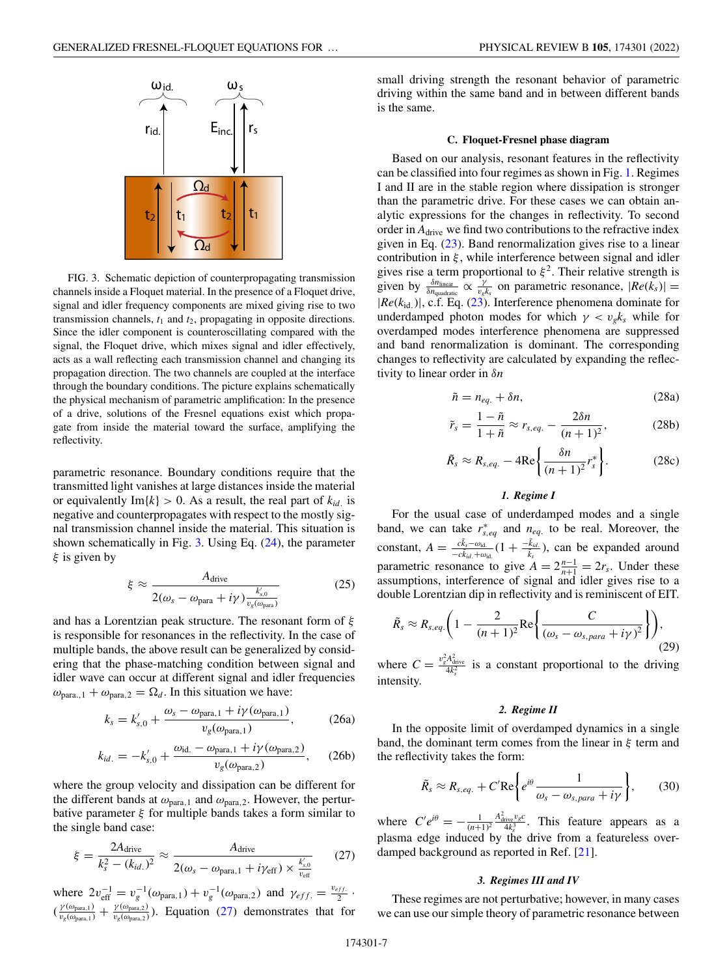<span id="page-6-0"></span>

FIG. 3. Schematic depiction of counterpropagating transmission channels inside a Floquet material. In the presence of a Floquet drive, signal and idler frequency components are mixed giving rise to two transmission channels,  $t_1$  and  $t_2$ , propagating in opposite directions. Since the idler component is counteroscillating compared with the signal, the Floquet drive, which mixes signal and idler effectively, acts as a wall reflecting each transmission channel and changing its propagation direction. The two channels are coupled at the interface through the boundary conditions. The picture explains schematically the physical mechanism of parametric amplification: In the presence of a drive, solutions of the Fresnel equations exist which propagate from inside the material toward the surface, amplifying the reflectivity.

parametric resonance. Boundary conditions require that the transmitted light vanishes at large distances inside the material or equivalently  $Im\{k\} > 0$ . As a result, the real part of  $k_{id}$  is negative and counterpropagates with respect to the mostly signal transmission channel inside the material. This situation is shown schematically in Fig.  $3$ . Using Eq.  $(24)$ , the parameter  $\xi$  is given by

$$
\xi \approx \frac{A_{\text{drive}}}{2(\omega_s - \omega_{\text{para}} + i\gamma) \frac{k'_{s,0}}{v_g(\omega_{\text{pan}})}}
$$
(25)

and has a Lorentzian peak structure. The resonant form of  $\xi$ is responsible for resonances in the reflectivity. In the case of multiple bands, the above result can be generalized by considering that the phase-matching condition between signal and idler wave can occur at different signal and idler frequencies  $\omega_{\text{para},1} + \omega_{\text{para},2} = \Omega_d$ . In this situation we have:

$$
k_s = k'_{s,0} + \frac{\omega_s - \omega_{\text{para},1} + i\gamma(\omega_{\text{para},1})}{v_g(\omega_{\text{para},1})},\tag{26a}
$$

$$
k_{id.} = -k'_{s,0} + \frac{\omega_{\text{id.}} - \omega_{\text{para},1} + i\gamma(\omega_{\text{para},2})}{v_g(\omega_{\text{para},2})},\qquad(26b)
$$

where the group velocity and dissipation can be different for the different bands at  $\omega_{\text{para},1}$  and  $\omega_{\text{para},2}$ . However, the perturbative parameter  $\xi$  for multiple bands takes a form similar to the single band case:

$$
\xi = \frac{2A_{\text{drive}}}{k_s^2 - (k_{id.})^2} \approx \frac{A_{\text{drive}}}{2(\omega_s - \omega_{\text{para},1} + i\gamma_{\text{eff}}) \times \frac{k'_{s.0}}{v_{\text{eff}}}}
$$
(27)

where  $2v_{\text{eff}}^{-1} = v_g^{-1}(\omega_{\text{para},1}) + v_g^{-1}(\omega_{\text{para},2})$  and  $\gamma_{eff} = \frac{v_{eff}}{2}$ .  $(\frac{\gamma(\omega_{\text{para},1})}{v_g(\omega_{\text{para},1})} + \frac{\gamma(\omega_{\text{para},2})}{v_g(\omega_{\text{para},2})})$ . Equation (27) demonstrates that for small driving strength the resonant behavior of parametric driving within the same band and in between different bands is the same.

### **C. Floquet-Fresnel phase diagram**

Based on our analysis, resonant features in the reflectivity can be classified into four regimes as shown in Fig. [1.](#page-1-0) Regimes I and II are in the stable region where dissipation is stronger than the parametric drive. For these cases we can obtain analytic expressions for the changes in reflectivity. To second order in  $A_{\text{drive}}$  we find two contributions to the refractive index given in Eq.  $(23)$ . Band renormalization gives rise to a linear contribution in  $\xi$ , while interference between signal and idler gives rise a term proportional to  $\xi^2$ . Their relative strength is given by  $\frac{\delta n_{\text{linear}}}{\delta n_{\text{quadratic}}} \propto \frac{\gamma}{v_g k_s}$  on parametric resonance,  $|Re(k_s)| =$ |*Re*(*k*id.)|, c.f. Eq. [\(23\)](#page-5-0). Interference phenomena dominate for underdamped photon modes for which  $\gamma < v_g k_s$  while for overdamped modes interference phenomena are suppressed and band renormalization is dominant. The corresponding changes to reflectivity are calculated by expanding the reflectivity to linear order in δ*n*

$$
\tilde{n} = n_{eq.} + \delta n,\tag{28a}
$$

$$
\tilde{r}_s = \frac{1 - \tilde{n}}{1 + \tilde{n}} \approx r_{s,eq.} - \frac{2\delta n}{(n+1)^2},\tag{28b}
$$

$$
\tilde{R}_s \approx R_{s,eq.} - 4\text{Re}\left\{\frac{\delta n}{(n+1)^2}r_s^*\right\}.
$$
 (28c)

## *1. Regime I*

For the usual case of underdamped modes and a single band, we can take  $r_{s,eq}^*$  and  $n_{eq}$  to be real. Moreover, the constant,  $A = \frac{c\tilde{k}_s - \omega_{\text{id}}}{-c\tilde{k}_{id} + \omega_{\text{id}}}(1 + \frac{-\tilde{k}_{id}}{\tilde{k}_s})$ , can be expanded around parametric resonance to give  $A = 2\frac{n-1}{n+1} = 2r_s$ . Under these assumptions, interference of signal and idler gives rise to a double Lorentzian dip in reflectivity and is reminiscent of EIT.

$$
\tilde{R}_s \approx R_{s,eq.}\bigg(1-\frac{2}{(n+1)^2}\text{Re}\bigg\{\frac{C}{(\omega_s-\omega_{s,para}+i\gamma)^2}\bigg\}\bigg),\tag{29}
$$

where  $C = \frac{v_g^2 A_{\text{drive}}^2}{4k_s^2}$  is a constant proportional to the driving intensity.

### *2. Regime II*

In the opposite limit of overdamped dynamics in a single band, the dominant term comes from the linear in  $\xi$  term and the reflectivity takes the form:

$$
\tilde{R}_s \approx R_{s,eq.} + C' \text{Re} \bigg\{ e^{i\theta} \frac{1}{\omega_s - \omega_{s,para} + i\gamma} \bigg\},\qquad(30)
$$

where  $C'e^{i\theta} = -\frac{1}{(n+1)^2}$  $\frac{A_{\text{drive}}^2 v_g c}{4k_s^3}$ . This feature appears as a plasma edge induced by the drive from a featureless overdamped background as reported in Ref. [\[21\]](#page-11-0).

### *3. Regimes III and IV*

These regimes are not perturbative; however, in many cases we can use our simple theory of parametric resonance between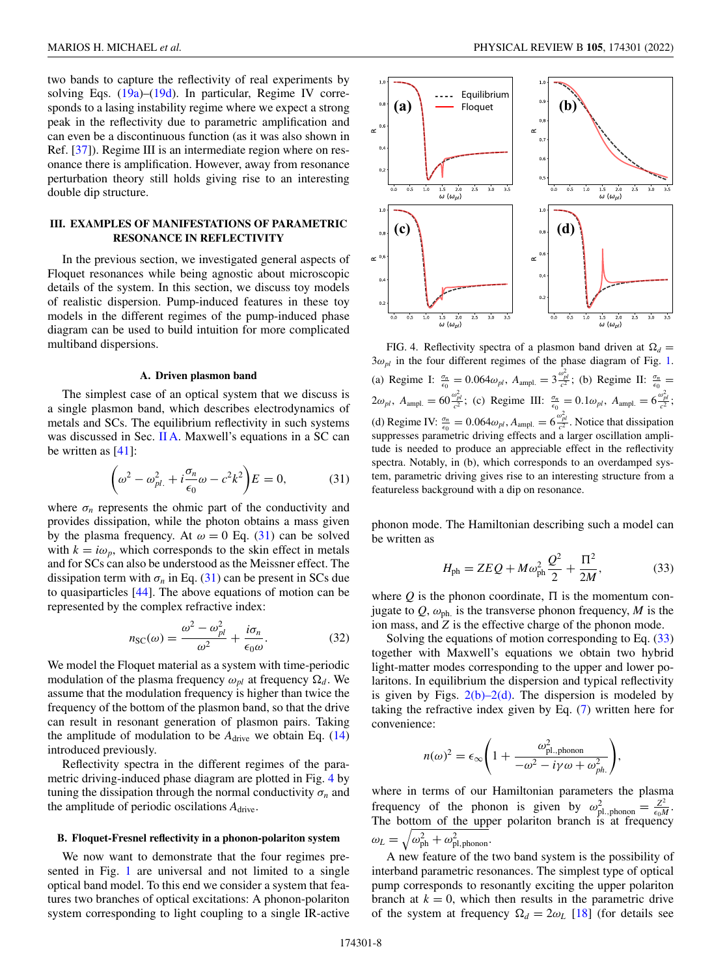<span id="page-7-0"></span>two bands to capture the reflectivity of real experiments by solving Eqs. [\(19a\)](#page-5-0)–[\(19d\)](#page-5-0). In particular, Regime IV corresponds to a lasing instability regime where we expect a strong peak in the reflectivity due to parametric amplification and can even be a discontinuous function (as it was also shown in Ref. [\[37\]](#page-12-0)). Regime III is an intermediate region where on resonance there is amplification. However, away from resonance perturbation theory still holds giving rise to an interesting double dip structure.

## **III. EXAMPLES OF MANIFESTATIONS OF PARAMETRIC RESONANCE IN REFLECTIVITY**

In the previous section, we investigated general aspects of Floquet resonances while being agnostic about microscopic details of the system. In this section, we discuss toy models of realistic dispersion. Pump-induced features in these toy models in the different regimes of the pump-induced phase diagram can be used to build intuition for more complicated multiband dispersions.

#### **A. Driven plasmon band**

The simplest case of an optical system that we discuss is a single plasmon band, which describes electrodynamics of metals and SCs. The equilibrium reflectivity in such systems was discussed in Sec. [II A.](#page-3-0) Maxwell's equations in a SC can be written as  $[41]$ :

$$
\left(\omega^2 - \omega_{pl.}^2 + i\frac{\sigma_n}{\epsilon_0}\omega - c^2k^2\right)E = 0,\tag{31}
$$

where  $\sigma_n$  represents the ohmic part of the conductivity and provides dissipation, while the photon obtains a mass given by the plasma frequency. At  $\omega = 0$  Eq. (31) can be solved with  $k = i\omega_p$ , which corresponds to the skin effect in metals and for SCs can also be understood as the Meissner effect. The dissipation term with  $\sigma_n$  in Eq. (31) can be present in SCs due to quasiparticles [\[44\]](#page-12-0). The above equations of motion can be represented by the complex refractive index:

$$
n_{\rm SC}(\omega) = \frac{\omega^2 - \omega_{pl}^2}{\omega^2} + \frac{i\sigma_n}{\epsilon_0 \omega}.
$$
 (32)

We model the Floquet material as a system with time-periodic modulation of the plasma frequency  $\omega_{pl}$  at frequency  $\Omega_d$ . We assume that the modulation frequency is higher than twice the frequency of the bottom of the plasmon band, so that the drive can result in resonant generation of plasmon pairs. Taking the amplitude of modulation to be  $A_{\text{drive}}$  we obtain Eq. [\(14\)](#page-4-0) introduced previously.

Reflectivity spectra in the different regimes of the parametric driving-induced phase diagram are plotted in Fig. 4 by tuning the dissipation through the normal conductivity  $\sigma_n$  and the amplitude of periodic oscilations *A*drive.

#### **B. Floquet-Fresnel reflectivity in a phonon-polariton system**

We now want to demonstrate that the four regimes pre-sented in Fig. [1](#page-1-0) are universal and not limited to a single optical band model. To this end we consider a system that features two branches of optical excitations: A phonon-polariton system corresponding to light coupling to a single IR-active



FIG. 4. Reflectivity spectra of a plasmon band driven at  $\Omega_d$  =  $3\omega_{pl}$  in the four different regimes of the phase diagram of Fig. [1.](#page-1-0) (a) Regime I:  $\frac{\sigma_n}{\epsilon_0} = 0.064 \omega_{pl}$ ,  $A_{\text{ampl.}} = 3 \frac{\omega_{pl}^2}{c^2}$ ; (b) Regime II:  $\frac{\sigma_n}{\epsilon_0} =$  $2\omega_{pl}$ ,  $A_{\text{ampl.}} = 60 \frac{\omega_{pl}^2}{c^2}$ ; (c) Regime III:  $\frac{\sigma_n}{\epsilon_0} = 0.1 \omega_{pl}$ ,  $A_{\text{ampl.}} = 6 \frac{\omega_{pl}^2}{c^2}$ ; (d) Regime IV:  $\frac{\sigma_n}{\epsilon_0} = 0.064 \omega_{pl}$ ,  $A_{\text{ampl.}} = 6 \frac{\omega_{pl}^2}{c^2}$ . Notice that dissipation suppresses parametric driving effects and a larger oscillation amplitude is needed to produce an appreciable effect in the reflectivity spectra. Notably, in (b), which corresponds to an overdamped system, parametric driving gives rise to an interesting structure from a featureless background with a dip on resonance.

phonon mode. The Hamiltonian describing such a model can be written as

$$
H_{\rm ph} = ZEQ + M\omega_{\rm ph}^2 \frac{Q^2}{2} + \frac{\Pi^2}{2M},
$$
 (33)

where  $Q$  is the phonon coordinate,  $\Pi$  is the momentum conjugate to  $Q$ ,  $\omega_{ph}$  is the transverse phonon frequency, M is the ion mass, and *Z* is the effective charge of the phonon mode.

Solving the equations of motion corresponding to Eq. (33) together with Maxwell's equations we obtain two hybrid light-matter modes corresponding to the upper and lower polaritons. In equilibrium the dispersion and typical reflectivity is given by Figs.  $2(b)-2(d)$ . The dispersion is modeled by taking the refractive index given by Eq. [\(7\)](#page-3-0) written here for convenience:

$$
n(\omega)^2 = \epsilon_{\infty} \left( 1 + \frac{\omega_{\text{pl},\text{phonon}}^2}{-\omega^2 - i\gamma \omega + \omega_{ph}^2} \right)
$$

,

where in terms of our Hamiltonian parameters the plasma frequency of the phonon is given by  $\omega_{\text{pl.},\text{phonon}}^2 = \frac{Z^2}{\epsilon_0 M}$ . The bottom of the upper polariton branch is at frequency  $\omega_L = \sqrt{\omega_{\rm ph}^2 + \omega_{\rm pl,\,phonon}^2}.$ 

A new feature of the two band system is the possibility of interband parametric resonances. The simplest type of optical pump corresponds to resonantly exciting the upper polariton branch at  $k = 0$ , which then results in the parametric drive of the system at frequency  $\Omega_d = 2\omega_L$  [\[18\]](#page-11-0) (for details see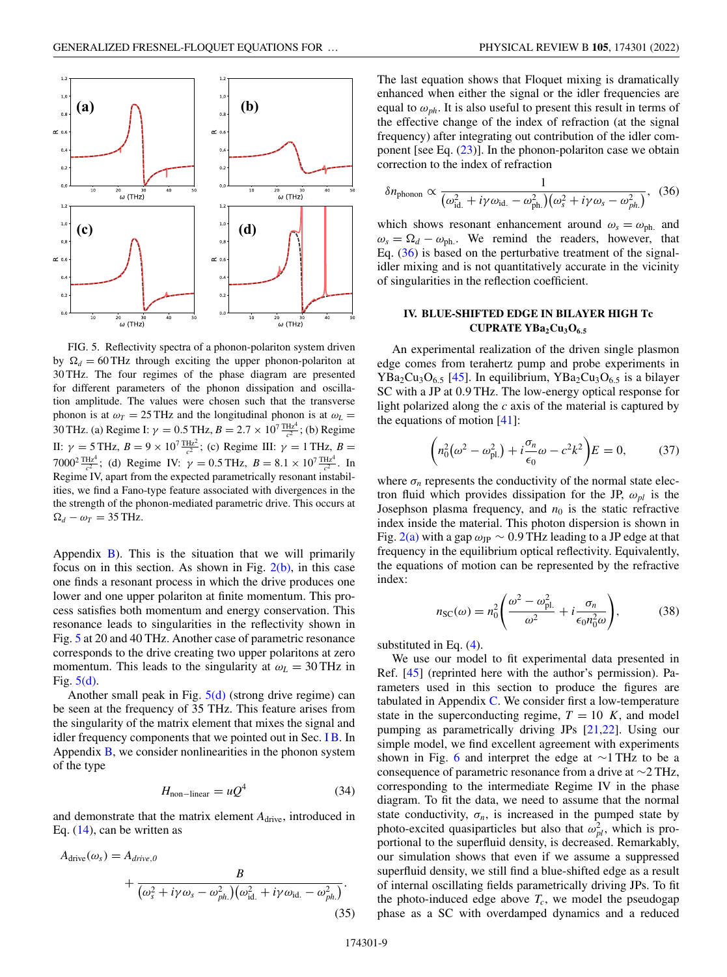<span id="page-8-0"></span>

FIG. 5. Reflectivity spectra of a phonon-polariton system driven by  $\Omega_d = 60$  THz through exciting the upper phonon-polariton at 30 THz. The four regimes of the phase diagram are presented for different parameters of the phonon dissipation and oscillation amplitude. The values were chosen such that the transverse phonon is at  $\omega_T = 25 \text{ THz}$  and the longitudinal phonon is at  $\omega_L =$ 30 THz. (a) Regime I:  $\gamma = 0.5$  THz,  $B = 2.7 \times 10^{7} \frac{\text{THz}^4}{c^2}$ ; (b) Regime II:  $\gamma = 5$  THz,  $B = 9 \times 10^7 \frac{\text{THz}^2}{c^2}$ ; (c) Regime III:  $\gamma = 1$  THz,  $B =$ 7000<sup>2</sup>  $\frac{\text{THz}^4}{c^2}$ ; (d) Regime IV:  $\gamma = 0.5 \text{ THz}$ ,  $B = 8.1 \times 10^7 \frac{\text{THz}^4}{c^2}$ . In Regime IV, apart from the expected parametrically resonant instabilities, we find a Fano-type feature associated with divergences in the the strength of the phonon-mediated parametric drive. This occurs at  $\Omega_d - \omega_T = 35$  THz.

Appendix  $\overline{B}$ ). This is the situation that we will primarily focus on in this section. As shown in Fig.  $2(b)$ , in this case one finds a resonant process in which the drive produces one lower and one upper polariton at finite momentum. This process satisfies both momentum and energy conservation. This resonance leads to singularities in the reflectivity shown in Fig. 5 at 20 and 40 THz. Another case of parametric resonance corresponds to the drive creating two upper polaritons at zero momentum. This leads to the singularity at  $\omega_L = 30$  THz in Fig. 5(d).

Another small peak in Fig.  $5(d)$  (strong drive regime) can be seen at the frequency of 35 THz. This feature arises from the singularity of the matrix element that mixes the signal and idler frequency components that we pointed out in Sec. [I B.](#page-1-0) In Appendix  $\bf{B}$ , we consider nonlinearities in the phonon system of the type

$$
H_{\text{non-linear}} = uQ^4 \tag{34}
$$

and demonstrate that the matrix element  $A<sub>drive</sub>$ , introduced in Eq. [\(14\)](#page-4-0), can be written as

$$
A_{\text{drive}}(\omega_s) = A_{\text{drive},0}
$$
  
+ 
$$
\frac{B}{(\omega_s^2 + i\gamma \omega_s - \omega_{ph}^2)(\omega_{\text{id}}^2 + i\gamma \omega_{\text{id}} - \omega_{ph}^2)}.
$$
  
(35)

The last equation shows that Floquet mixing is dramatically enhanced when either the signal or the idler frequencies are equal to  $\omega_{ph}$ . It is also useful to present this result in terms of the effective change of the index of refraction (at the signal frequency) after integrating out contribution of the idler component [see Eq.  $(23)$ ]. In the phonon-polariton case we obtain correction to the index of refraction

$$
\delta n_{\text{phonon}} \propto \frac{1}{(\omega_{\text{id.}}^2 + i\gamma \omega_{\text{id.}} - \omega_{\text{ph.}}^2)(\omega_s^2 + i\gamma \omega_s - \omega_{ph.}^2)},
$$
 (36)

which shows resonant enhancement around  $\omega_s = \omega_{ph}$  and  $\omega_s = \Omega_d - \omega_{ph}$ . We remind the readers, however, that Eq. (36) is based on the perturbative treatment of the signalidler mixing and is not quantitatively accurate in the vicinity of singularities in the reflection coefficient.

## **IV. BLUE-SHIFTED EDGE IN BILAYER HIGH Tc CUPRATE YBa<sub>2</sub>Cu<sub>3</sub>O<sub>6.5</sub>**

An experimental realization of the driven single plasmon edge comes from terahertz pump and probe experiments in  $YBa<sub>2</sub>Cu<sub>3</sub>O<sub>6.5</sub>$  [\[45\]](#page-12-0). In equilibrium,  $YBa<sub>2</sub>Cu<sub>3</sub>O<sub>6.5</sub>$  is a bilayer SC with a JP at 0.9 THz. The low-energy optical response for light polarized along the *c* axis of the material is captured by the equations of motion  $[41]$ :

$$
\left(n_0^2(\omega^2 - \omega_{\rm pl.}^2) + i\frac{\sigma_n}{\epsilon_0}\omega - c^2k^2\right)E = 0,\tag{37}
$$

where  $\sigma_n$  represents the conductivity of the normal state electron fluid which provides dissipation for the JP,  $\omega_{pl}$  is the Josephson plasma frequency, and  $n_0$  is the static refractive index inside the material. This photon dispersion is shown in Fig. [2\(a\)](#page-2-0) with a gap  $\omega_{\text{JP}} \sim 0.9 \text{ THz}$  leading to a JP edge at that frequency in the equilibrium optical reflectivity. Equivalently, the equations of motion can be represented by the refractive index:

$$
n_{\rm SC}(\omega) = n_0^2 \left( \frac{\omega^2 - \omega_{\rm pl.}^2}{\omega^2} + i \frac{\sigma_n}{\epsilon_0 n_0^2 \omega} \right),\tag{38}
$$

substituted in Eq. [\(4\)](#page-3-0).

We use our model to fit experimental data presented in Ref. [\[45\]](#page-12-0) (reprinted here with the author's permission). Parameters used in this section to produce the figures are tabulated in Appendix  $C$ . We consider first a low-temperature state in the superconducting regime,  $T = 10$  K, and model pumping as parametrically driving JPs [\[21](#page-11-0)[,22\]](#page-12-0). Using our simple model, we find excellent agreement with experiments shown in Fig. [6](#page-9-0) and interpret the edge at  $\sim$ 1 THz to be a consequence of parametric resonance from a drive at ∼2 THz, corresponding to the intermediate Regime IV in the phase diagram. To fit the data, we need to assume that the normal state conductivity,  $\sigma_n$ , is increased in the pumped state by photo-excited quasiparticles but also that  $\omega_{pl}^2$ , which is proportional to the superfluid density, is decreased. Remarkably, our simulation shows that even if we assume a suppressed superfluid density, we still find a blue-shifted edge as a result of internal oscillating fields parametrically driving JPs. To fit the photo-induced edge above  $T_c$ , we model the pseudogap phase as a SC with overdamped dynamics and a reduced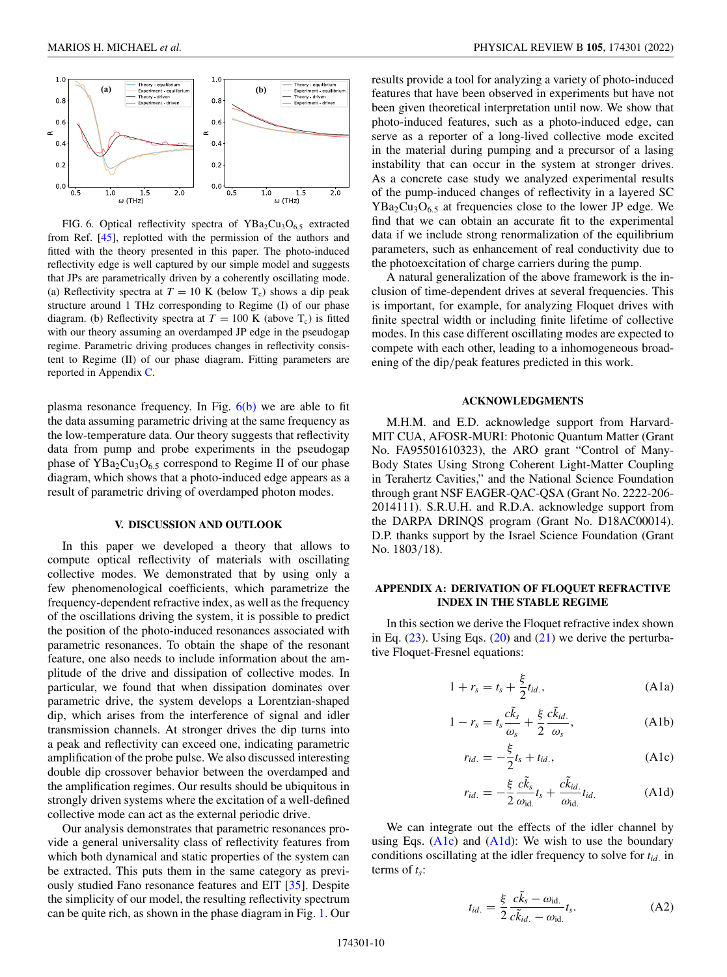<span id="page-9-0"></span>

FIG. 6. Optical reflectivity spectra of  $YBa<sub>2</sub>Cu<sub>3</sub>O<sub>6.5</sub>$  extracted from Ref. [\[45\]](#page-12-0), replotted with the permission of the authors and fitted with the theory presented in this paper. The photo-induced reflectivity edge is well captured by our simple model and suggests that JPs are parametrically driven by a coherently oscillating mode. (a) Reflectivity spectra at  $T = 10$  K (below T<sub>c</sub>) shows a dip peak structure around 1 THz corresponding to Regime (I) of our phase diagram. (b) Reflectivity spectra at  $T = 100$  K (above T<sub>c</sub>) is fitted with our theory assuming an overdamped JP edge in the pseudogap regime. Parametric driving produces changes in reflectivity consistent to Regime (II) of our phase diagram. Fitting parameters are reported in Appendix [C.](#page-10-0)

plasma resonance frequency. In Fig.  $6(b)$  we are able to fit the data assuming parametric driving at the same frequency as the low-temperature data. Our theory suggests that reflectivity data from pump and probe experiments in the pseudogap phase of  $YBa<sub>2</sub>Cu<sub>3</sub>O<sub>6.5</sub>$  correspond to Regime II of our phase diagram, which shows that a photo-induced edge appears as a result of parametric driving of overdamped photon modes.

### **V. DISCUSSION AND OUTLOOK**

In this paper we developed a theory that allows to compute optical reflectivity of materials with oscillating collective modes. We demonstrated that by using only a few phenomenological coefficients, which parametrize the frequency-dependent refractive index, as well as the frequency of the oscillations driving the system, it is possible to predict the position of the photo-induced resonances associated with parametric resonances. To obtain the shape of the resonant feature, one also needs to include information about the amplitude of the drive and dissipation of collective modes. In particular, we found that when dissipation dominates over parametric drive, the system develops a Lorentzian-shaped dip, which arises from the interference of signal and idler transmission channels. At stronger drives the dip turns into a peak and reflectivity can exceed one, indicating parametric amplification of the probe pulse. We also discussed interesting double dip crossover behavior between the overdamped and the amplification regimes. Our results should be ubiquitous in strongly driven systems where the excitation of a well-defined collective mode can act as the external periodic drive.

Our analysis demonstrates that parametric resonances provide a general universality class of reflectivity features from which both dynamical and static properties of the system can be extracted. This puts them in the same category as previously studied Fano resonance features and EIT [\[35\]](#page-12-0). Despite the simplicity of our model, the resulting reflectivity spectrum can be quite rich, as shown in the phase diagram in Fig. [1.](#page-1-0) Our results provide a tool for analyzing a variety of photo-induced features that have been observed in experiments but have not been given theoretical interpretation until now. We show that photo-induced features, such as a photo-induced edge, can serve as a reporter of a long-lived collective mode excited in the material during pumping and a precursor of a lasing instability that can occur in the system at stronger drives. As a concrete case study we analyzed experimental results of the pump-induced changes of reflectivity in a layered SC  $YBa<sub>2</sub>Cu<sub>3</sub>O<sub>6.5</sub>$  at frequencies close to the lower JP edge. We find that we can obtain an accurate fit to the experimental data if we include strong renormalization of the equilibrium parameters, such as enhancement of real conductivity due to the photoexcitation of charge carriers during the pump.

A natural generalization of the above framework is the inclusion of time-dependent drives at several frequencies. This is important, for example, for analyzing Floquet drives with finite spectral width or including finite lifetime of collective modes. In this case different oscillating modes are expected to compete with each other, leading to a inhomogeneous broadening of the dip/peak features predicted in this work.

## **ACKNOWLEDGMENTS**

M.H.M. and E.D. acknowledge support from Harvard-MIT CUA, AFOSR-MURI: Photonic Quantum Matter (Grant No. FA95501610323), the ARO grant "Control of Many-Body States Using Strong Coherent Light-Matter Coupling in Terahertz Cavities," and the National Science Foundation through grant NSF EAGER-QAC-QSA (Grant No. 2222-206- 2014111). S.R.U.H. and R.D.A. acknowledge support from the DARPA DRINQS program (Grant No. D18AC00014). D.P. thanks support by the Israel Science Foundation (Grant No. 1803/18).

## **APPENDIX A: DERIVATION OF FLOQUET REFRACTIVE INDEX IN THE STABLE REGIME**

In this section we derive the Floquet refractive index shown in Eq.  $(23)$ . Using Eqs.  $(20)$  and  $(21)$  we derive the perturbative Floquet-Fresnel equations:

$$
1 + r_s = t_s + \frac{\xi}{2} t_{id.},
$$
 (A1a)

$$
1 - r_s = t_s \frac{c\tilde{k}_s}{\omega_s} + \frac{\xi}{2} \frac{c\tilde{k}_{id.}}{\omega_s},
$$
 (A1b)

$$
r_{id.} = -\frac{\xi}{2}t_s + t_{id.},
$$
 (A1c)

$$
r_{id.} = -\frac{\xi}{2} \frac{c\tilde{k}_s}{\omega_{\text{id}}} t_s + \frac{c\tilde{k}_{id.}}{\omega_{\text{id.}}} t_{id.}
$$
 (A1d)

We can integrate out the effects of the idler channel by using Eqs.  $(A1c)$  and  $(A1d)$ : We wish to use the boundary conditions oscillating at the idler frequency to solve for *tid*. in terms of *ts*:

$$
t_{id.} = \frac{\xi}{2} \frac{c\tilde{k}_s - \omega_{\text{id.}}}{c\tilde{k}_{id.} - \omega_{\text{id.}}} t_s.
$$
 (A2)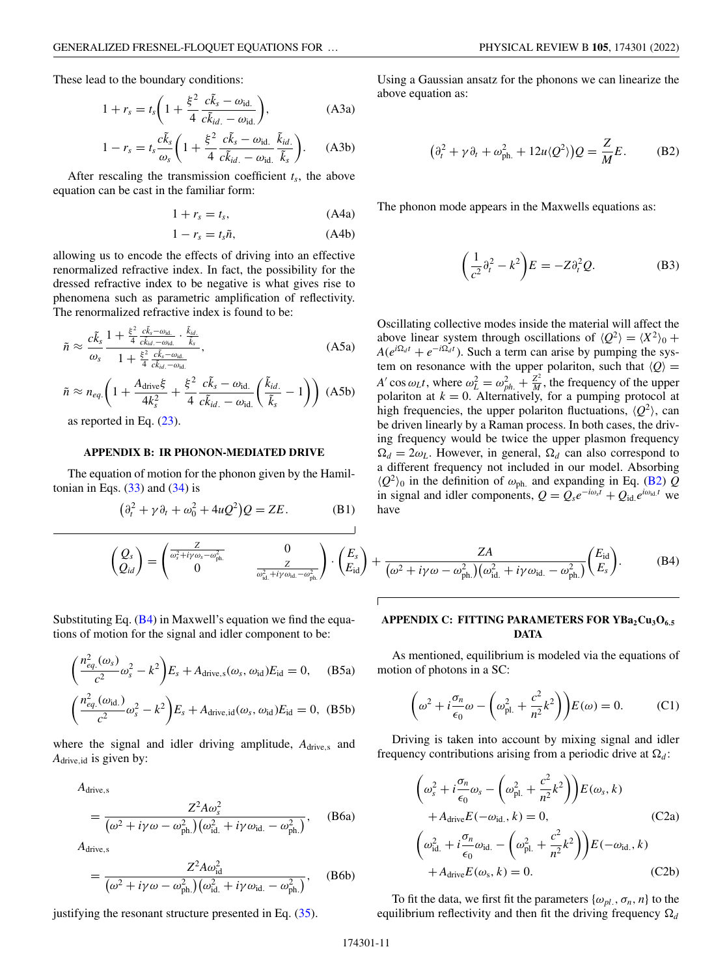<span id="page-10-0"></span>
$$
1 + r_s = t_s \left( 1 + \frac{\xi^2}{4} \frac{c\tilde{k}_s - \omega_{\text{id.}}}{c\tilde{k}_{id.} - \omega_{\text{id.}}} \right),\tag{A3a}
$$

$$
1 - r_s = t_s \frac{c\tilde{k}_s}{\omega_s} \left( 1 + \frac{\xi^2}{4} \frac{c\tilde{k}_s - \omega_{\text{id}}}{c\tilde{k}_{id.} - \omega_{\text{id}}} \frac{\tilde{k}_{id.}}{\tilde{k}_s} \right). \tag{A3b}
$$

After rescaling the transmission coefficient equation can be cast in the familiar form:

$$
1 + r_s = t_s, \tag{A4a}
$$

$$
1 - r_s = t_s \tilde{n}, \tag{A4b}
$$

allowing us to encode the effects of driving into an effective renormalized refractive index. In fact, the possibility for the dressed refractive index to be negative is what gives rise to phenomena such as parametric amplification of reflectivity. The renormalized refractive index is found to be:

$$
\tilde{n} \approx \frac{c\tilde{k}_s}{\omega_s} \frac{1 + \frac{\xi^2}{4} \frac{c\tilde{k}_s - \omega_{\text{id}}}{c\tilde{k}_{\text{id}} - \omega_{\text{id}}} \cdot \frac{\tilde{k}_{\text{id}}}{\tilde{k}_s}}{1 + \frac{\xi^2}{4} \frac{c\tilde{k}_s - \omega_{\text{id}}}{c\tilde{k}_{\text{id}} - \omega_{\text{id}}}},\tag{A5a}
$$

$$
\tilde{n} \approx n_{eq.}\left(1 + \frac{A_{\text{drive}}\xi}{4k_s^2} + \frac{\xi^2}{4} \frac{c\tilde{k}_s - \omega_{\text{id.}}}{c\tilde{k}_{id.} - \omega_{\text{id.}}}\left(\frac{\tilde{k}_{id.}}{\tilde{k}_s} - 1\right)\right)
$$
(A5b)

as reported in Eq.  $(2)$ 

 $\begin{pmatrix} Q_s \\ Q_{id} \end{pmatrix} =$ 

### **APPENDIX B: IR PHONON-MEDIATED DRIVE**

The equation of motion for the phonon given by the Hamiltonian in Eqs.  $(33)$  and  $(34)$  is

$$
(\partial_t^2 + \gamma \partial_t + \omega_0^2 + 4uQ^2)Q = ZE.
$$
 (B1)

$$
\begin{array}{ll}\n\text{Hg1} & \text{He} \\
\text{begin} & \text{begin} \\
 \text{begin} \\ \text{100} \end{array} \\
\text{begin} \\ \text{110} \end{array} \\
\text{P. PUMON MENTATED PIVE} \\
\text{P. PUMON MENTATED PIVE} \\
\text{P. PUMOIN MENDI ATED PIVE} \\
\text{P. PUMOIN MENDI ATED PINE} \\
\text{P. PUMOIN MENDI ATED PENE} \\
\text{P. PUMOIN MENDI ATED PENE} \\
\text{P. PUMOIN MENDI ATED PENE} \\
\text{P. PUMOIN MENDI ATED PENE} \\
\text{P. PUMOIN MENDI ATED PENE} \\
\text{P. PUMOIN MENDI ATED PENE} \\
\text{P. PUMOIN MENDI ATED PENE} \\
\text{P. PUMOIN MENDI ATED PENE} \\
\text{P. PUMOIN MENDI ATED PENE} \\
\text{P. PUMOIN MENDI ATED PENE} \\
\text{P. PUMOIN MENDI ATED PENE} \\
\text{P. PUMOIN MENDI ATED PENE} \\
\text{P. PUMOIN MENDI ATED PENE} \\
\text{P. PUMOIN MENDI ATED PENE} \\
\text{P. PUMOIN MENDI ATED PENE} \\
\text{P. PUMOIN MENDI ATED PENE} \\
\text{P. PUMOIN MENDI ATED PENE} \\
\text{P. PUMOIN MENDI ATED PENE} \\
\text{P. PUMOIN MENDI ATED PENE} \\
\text{P. PUMOIN MENDI ATED PENE} \\
\text{P. PUMOIN MENDI ATED PENE} \\
\text{P. PUMOIN MENDI ATED PENE} \\
\text{P. PUMOIN MENDI ATED PENE} \\
\text{P. PUMOIN MENDI ATED PENE} \\
\text{P. PUMOIN MENDI ATED PENE} \\
\text{P. PUMOIN MENDI ATED PENE} \\
\text{P. PUMOIN MENDI ATED PENE} \\
\text{P. PUMOIN MENDI ATED PENE} \\
\text{P. PUMOIN MENDI ATED PENE} \\
\text{P. PUMOIN MENDI ATED PENE} \\
\text{P. PUMOIN MENDI ATED PENE} \\
\text{P. PUMOIN MENDI ATED PENE} \\
\text{P. PUMOIN MENDI
$$

$$
(\partial_t^2 + \gamma \partial_t + \omega_0^2 + 4uQ^2)Q = ZE.
$$
 (B1)

$$
t_s
$$
, the above

above equation as:

The phonon mode appears in the Maxwells equations as:

 $(\partial_t^2 + \gamma \partial_t + \omega_{\text{ph.}}^2 + 12u \langle Q^2 \rangle) Q = \frac{Z}{M}$ 

Using a Gaussian ansatz for the phonons we can linearize the

$$
\left(\frac{1}{c^2}\partial_t^2 - k^2\right)E = -Z\partial_t^2 Q.
$$
 (B3)

Oscillating collective modes inside the material will affect the above linear system through oscillations of  $\langle Q^2 \rangle = \langle X^2 \rangle_0 +$  $A(e^{i\Omega_d t} + e^{-i\Omega_d t})$ . Such a term can arise by pumping the system on resonance with the upper polariton, such that  $\langle Q \rangle$  = *A'* cos  $\omega_L t$ , where  $\omega_L^2 = \omega_{ph.}^2 + \frac{Z^2}{M}$ , the frequency of the upper polariton at  $k = 0$ . Alternatively, for a pumping protocol at high frequencies, the upper polariton fluctuations,  $\langle Q^2 \rangle$ , can he driven linearly by a Raman process. In both cases, the drivuency would be twice the upper plasmon frequency  $\Omega_d = 2\omega_L$ . However, in general,  $\Omega_d$  can also correspond to a different frequency not included in our model. Absorbing  $\langle Q^2 \rangle$ <sup>0</sup> in the definition of  $\omega_{ph}$  and expanding in Eq. (B2) *Q* in signal and idler components,  $Q = Q_s e^{-i\omega_s t} + Q_{\text{id}} e^{i\omega_{\text{id}} t}$  we have

$$
\begin{pmatrix}\n\frac{Z}{\omega_s^2 + i\gamma\omega_s - \omega_{ph}^2} & 0 & ZA \\
0 & \frac{Z}{\omega_{\text{id}}^2 + i\gamma\omega_{\text{id}} - \omega_{ph}^2}\n\end{pmatrix} \cdot \begin{pmatrix}\nE_s \\
E_{\text{id}}\n\end{pmatrix} + \frac{ZA}{(\omega^2 + i\gamma\omega - \omega_{ph}^2)(\omega_{\text{id}}^2 + i\gamma\omega_{\text{id}} - \omega_{ph}^2)} \begin{pmatrix}\nE_{\text{id}} \\
E_s\n\end{pmatrix}.
$$
\n(B4)

Substituting Eq.  $(B4)$  in Maxwell's equation we find the equations of motion for the signal and idler component to be:

$$
\left(\frac{n_{eq.}^2(\omega_s)}{c^2}\omega_s^2 - k^2\right)E_s + A_{\text{drive,s}}(\omega_s, \omega_{\text{id}})E_{\text{id}} = 0, \quad (B5a)
$$

$$
\left(\frac{n_{eq.}^2(\omega_{\rm id.})}{c^2}\omega_s^2 - k^2\right)E_s + A_{\rm drive, id}(\omega_s, \omega_{\rm id})E_{\rm id} = 0, \quad (B5b)
$$

where the signal and idler driving amplitude,  $A<sub>drive,s</sub>$  and *A*drive,id is given by:

*A*drive,<sup>s</sup>

$$
= \frac{Z^2 A \omega_s^2}{(\omega^2 + i\gamma \omega - \omega_{\text{ph.}}^2)(\omega_{\text{id.}}^2 + i\gamma \omega_{\text{id.}} - \omega_{\text{ph.}}^2)}, \quad \text{(B6a)}
$$

*A*drive,<sup>s</sup>

$$
= \frac{Z^2 A \omega_{\rm id}^2}{(\omega^2 + i\gamma \omega - \omega_{\rm ph.}^2)(\omega_{\rm id.}^2 + i\gamma \omega_{\rm id.} - \omega_{\rm ph.}^2)},
$$
 (B6b)

justifying the resonant structure presented in Eq. [\(35\)](#page-8-0).

## APPENDIX C: FITTING PARAMETERS FOR YBa<sub>2</sub>Cu<sub>3</sub>O<sub>6.5</sub> **DATA**

As mentioned, equilibrium is modeled via the equations of motion of photons in a SC:

$$
\left(\omega^2 + i\frac{\sigma_n}{\epsilon_0}\omega - \left(\omega_{\text{pl.}}^2 + \frac{c^2}{n^2}k^2\right)\right)E(\omega) = 0.
$$
 (C1)

Driving is taken into account by mixing signal and idler frequency contributions arising from a periodic drive at  $\Omega_d$ :

$$
\left(\omega_s^2 + i\frac{\sigma_n}{\epsilon_0}\omega_s - \left(\omega_{\text{pl.}}^2 + \frac{c^2}{n^2}k^2\right)\right)E(\omega_s, k) \n+ A_{\text{drive}}E(-\omega_{\text{id.}}, k) = 0, \qquad (C2a) \n\left(\omega_{\text{id.}}^2 + i\frac{\sigma_n}{\epsilon_0}\omega_{\text{id.}} - \left(\omega_{\text{pl.}}^2 + \frac{c^2}{n^2}k^2\right)\right)E(-\omega_{\text{id.}}, k) \n+ A_{\text{drive}}E(\omega_s, k) = 0. \qquad (C2b)
$$

To fit the data, we first fit the parameters  $\{\omega_{pl.}, \sigma_n, n\}$  to the equilibrium reflectivity and then fit the driving frequency  $\Omega_d$ 

*E*. (B2)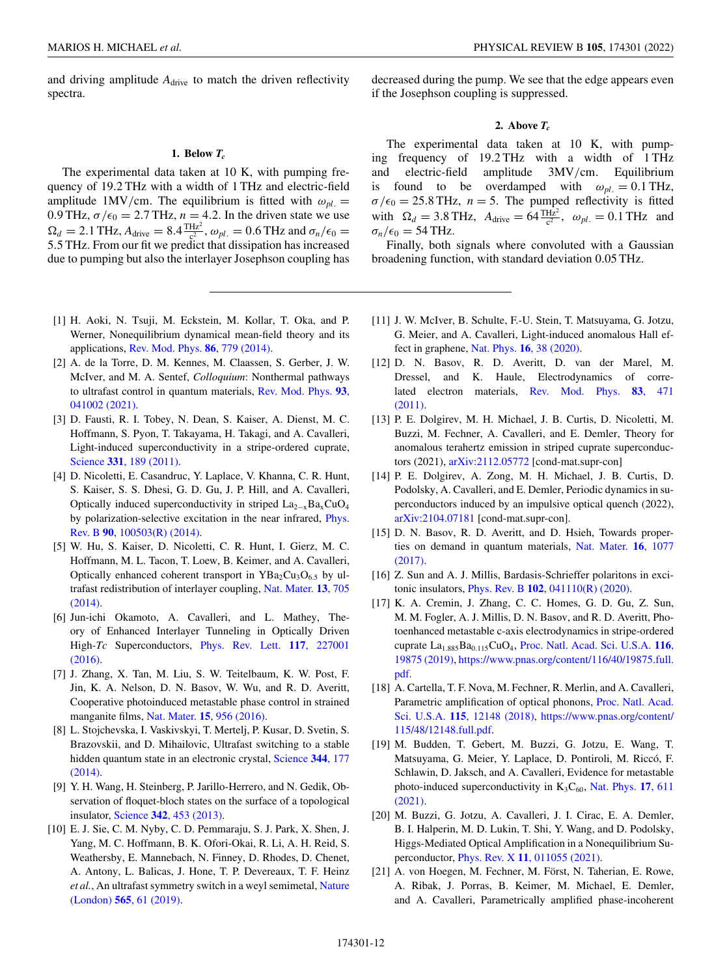<span id="page-11-0"></span>and driving amplitude  $A_{\text{drive}}$  to match the driven reflectivity spectra.

### **1. Below** *Tc*

The experimental data taken at 10 K, with pumping frequency of 19.2 THz with a width of 1 THz and electric-field amplitude 1MV/cm. The equilibrium is fitted with  $\omega_{pl}$ . 0.9 THz,  $\sigma/\epsilon_0 = 2.7$  THz,  $n = 4.2$ . In the driven state we use  $\Omega_d = 2.1$  THz,  $A_{\text{drive}} = 8.4 \frac{\text{THz}}{c^2}$ ,  $\omega_{pl.} = 0.6$  THz and  $\sigma_n/\epsilon_0 =$ 5.5 THz. From our fit we predict that dissipation has increased due to pumping but also the interlayer Josephson coupling has

- [1] H. Aoki, N. Tsuji, M. Eckstein, M. Kollar, T. Oka, and P. Werner, Nonequilibrium dynamical mean-field theory and its applications, [Rev. Mod. Phys.](https://doi.org/10.1103/RevModPhys.86.779) **86**, 779 (2014).
- [2] A. de la Torre, D. M. Kennes, M. Claassen, S. Gerber, J. W. McIver, and M. A. Sentef, *Colloquium*: Nonthermal pathways [to ultrafast control in quantum materials,](https://doi.org/10.1103/RevModPhys.93.041002) Rev. Mod. Phys. **93**, 041002 (2021).
- [3] D. Fausti, R. I. Tobey, N. Dean, S. Kaiser, A. Dienst, M. C. Hoffmann, S. Pyon, T. Takayama, H. Takagi, and A. Cavalleri, Light-induced superconductivity in a stripe-ordered cuprate, Science **331**[, 189 \(2011\).](https://doi.org/10.1126/science.1197294)
- [4] D. Nicoletti, E. Casandruc, Y. Laplace, V. Khanna, C. R. Hunt, S. Kaiser, S. S. Dhesi, G. D. Gu, J. P. Hill, and A. Cavalleri, Optically induced superconductivity in striped  $\text{La}_{2-x}\text{Ba}_x\text{CuO}_4$ [by polarization-selective excitation in the near infrared,](https://doi.org/10.1103/PhysRevB.90.100503) Phys. Rev. B **90**, 100503(R) (2014).
- [5] W. Hu, S. Kaiser, D. Nicoletti, C. R. Hunt, I. Gierz, M. C. Hoffmann, M. L. Tacon, T. Loew, B. Keimer, and A. Cavalleri, Optically enhanced coherent transport in  $YBa<sub>2</sub>Cu<sub>3</sub>O<sub>6.5</sub>$  by ul[trafast redistribution of interlayer coupling,](https://doi.org/10.1038/nmat3963) Nat. Mater. **13**, 705 (2014).
- [6] Jun-ichi Okamoto, A. Cavalleri, and L. Mathey, Theory of Enhanced Interlayer Tunneling in Optically Driven High-*Tc* Superconductors, [Phys. Rev. Lett.](https://doi.org/10.1103/PhysRevLett.117.227001) **117**, 227001 (2016).
- [7] J. Zhang, X. Tan, M. Liu, S. W. Teitelbaum, K. W. Post, F. Jin, K. A. Nelson, D. N. Basov, W. Wu, and R. D. Averitt, Cooperative photoinduced metastable phase control in strained manganite films, Nat. Mater. **15**[, 956 \(2016\).](https://doi.org/10.1038/nmat4695)
- [8] L. Stojchevska, I. Vaskivskyi, T. Mertelj, P. Kusar, D. Svetin, S. Brazovskii, and D. Mihailovic, Ultrafast switching to a stable [hidden quantum state in an electronic crystal,](https://doi.org/10.1126/science.1241591) Science **344**, 177 (2014).
- [9] Y. H. Wang, H. Steinberg, P. Jarillo-Herrero, and N. Gedik, Observation of floquet-bloch states on the surface of a topological insulator, Science **342**[, 453 \(2013\).](https://doi.org/10.1126/science.1239834)
- [10] E. J. Sie, C. M. Nyby, C. D. Pemmaraju, S. J. Park, X. Shen, J. Yang, M. C. Hoffmann, B. K. Ofori-Okai, R. Li, A. H. Reid, S. Weathersby, E. Mannebach, N. Finney, D. Rhodes, D. Chenet, A. Antony, L. Balicas, J. Hone, T. P. Devereaux, T. F. Heinz *et al.*[, An ultrafast symmetry switch in a weyl semimetal,](https://doi.org/10.1038/s41586-018-0809-4) Nature (London) **565**, 61 (2019).

decreased during the pump. We see that the edge appears even if the Josephson coupling is suppressed.

### **2. Above** *Tc*

The experimental data taken at 10 K, with pumping frequency of 19.2 THz with a width of 1 THz and electric-field amplitude 3MV/cm. Equilibrium is found to be overdamped with  $\omega_{pl} = 0.1 \text{ THz}$ ,  $\sigma/\epsilon_0 = 25.8$  THz,  $n = 5$ . The pumped reflectivity is fitted with  $\Omega_d = 3.8 \text{ THz}$ ,  $A_{\text{drive}} = 64 \frac{\text{THz}^2}{c^2}$ ,  $\omega_{pl.} = 0.1 \text{ THz}$  and  $\sigma_n/\epsilon_0 = 54$  THz.

Finally, both signals where convoluted with a Gaussian broadening function, with standard deviation 0.05 THz.

- [11] J. W. McIver, B. Schulte, F.-U. Stein, T. Matsuyama, G. Jotzu, G. Meier, and A. Cavalleri, Light-induced anomalous Hall effect in graphene, Nat. Phys. **16**[, 38 \(2020\).](https://doi.org/10.1038/s41567-019-0698-y)
- [12] D. N. Basov, R. D. Averitt, D. van der Marel, M. Dressel, and K. Haule, Electrodynamics of corre[lated electron materials,](https://doi.org/10.1103/RevModPhys.83.471) Rev. Mod. Phys. **83**, 471 (2011).
- [13] P. E. Dolgirev, M. H. Michael, J. B. Curtis, D. Nicoletti, M. Buzzi, M. Fechner, A. Cavalleri, and E. Demler, Theory for anomalous terahertz emission in striped cuprate superconductors (2021), [arXiv:2112.05772](http://arxiv.org/abs/arXiv:2112.05772) [cond-mat.supr-con]
- [14] P. E. Dolgirev, A. Zong, M. H. Michael, J. B. Curtis, D. Podolsky, A. Cavalleri, and E. Demler, Periodic dynamics in superconductors induced by an impulsive optical quench (2022), [arXiv:2104.07181](http://arxiv.org/abs/arXiv:2104.07181) [cond-mat.supr-con].
- [15] D. N. Basov, R. D. Averitt, and D. Hsieh, Towards proper[ties on demand in quantum materials,](https://doi.org/10.1038/nmat5017) Nat. Mater. **16**, 1077 (2017).
- [16] Z. Sun and A. J. Millis, Bardasis-Schrieffer polaritons in excitonic insulators, Phys. Rev. B **102**[, 041110\(R\) \(2020\).](https://doi.org/10.1103/PhysRevB.102.041110)
- [17] K. A. Cremin, J. Zhang, C. C. Homes, G. D. Gu, Z. Sun, M. M. Fogler, A. J. Millis, D. N. Basov, and R. D. Averitt, Photoenhanced metastable c-axis electrodynamics in stripe-ordered cuprate La<sub>1.885</sub>Ba<sub>0.115</sub>CuO<sub>4</sub>, Proc. Natl. Acad. Sci. U.S.A. 116, 19875 (2019), [https://www.pnas.org/content/116/40/19875.full.](https://doi.org/10.1073/pnas.1908368116) pdf.
- [18] A. Cartella, T. F. Nova, M. Fechner, R. Merlin, and A. Cavalleri, [Parametric amplification of optical phonons,](https://doi.org/10.1073/pnas.1809725115) Proc. Natl. Acad. Sci. U.S.A. **115**, 12148 (2018), [https://www.pnas.org/content/](https://www.pnas.org/content/115/48/12148.full.pdf) 115/48/12148.full.pdf.
- [19] M. Budden, T. Gebert, M. Buzzi, G. Jotzu, E. Wang, T. Matsuyama, G. Meier, Y. Laplace, D. Pontiroli, M. Riccó, F. Schlawin, D. Jaksch, and A. Cavalleri, Evidence for metastable photo-induced superconductivity in  $K_3C_{60}$ , Nat. Phys. 17, 611 (2021).
- [20] M. Buzzi, G. Jotzu, A. Cavalleri, J. I. Cirac, E. A. Demler, B. I. Halperin, M. D. Lukin, T. Shi, Y. Wang, and D. Podolsky, Higgs-Mediated Optical Amplification in a Nonequilibrium Superconductor, Phys. Rev. X **11**[, 011055 \(2021\).](https://doi.org/10.1103/PhysRevX.11.011055)
- [21] A. von Hoegen, M. Fechner, M. Först, N. Taherian, E. Rowe, A. Ribak, J. Porras, B. Keimer, M. Michael, E. Demler, and A. Cavalleri, Parametrically amplified phase-incoherent